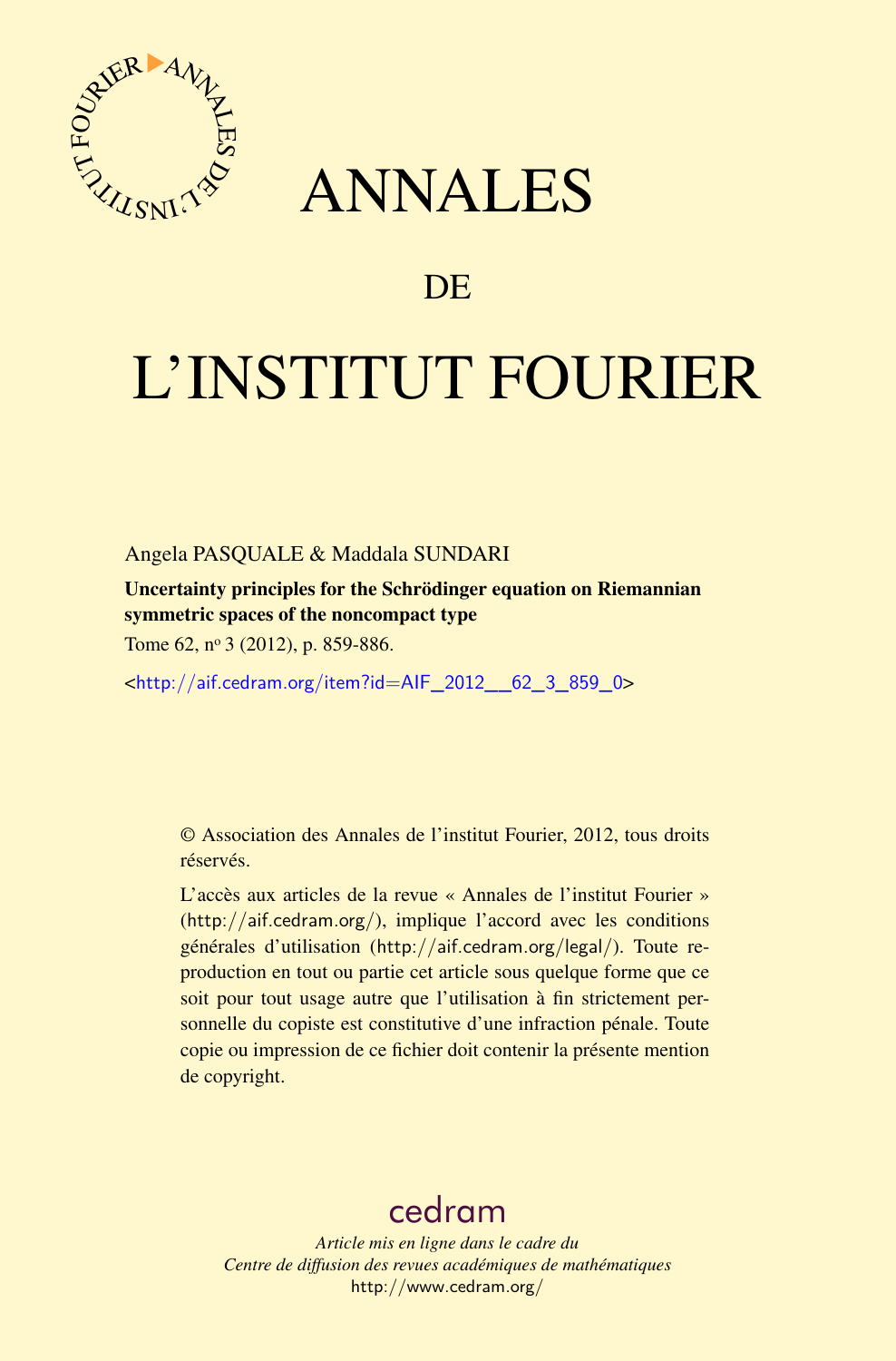

# ANNALES

# **DE**

# L'INSTITUT FOURIER

# Angela PASQUALE & Maddala SUNDARI

Uncertainty principles for the Schrödinger equation on Riemannian symmetric spaces of the noncompact type

Tome 62, nº 3 (2012), p. 859-886.

<[http://aif.cedram.org/item?id=AIF\\_2012\\_\\_62\\_3\\_859\\_0](http://aif.cedram.org/item?id=AIF_2012__62_3_859_0)>

© Association des Annales de l'institut Fourier, 2012, tous droits réservés.

L'accès aux articles de la revue « Annales de l'institut Fourier » (<http://aif.cedram.org/>), implique l'accord avec les conditions générales d'utilisation (<http://aif.cedram.org/legal/>). Toute reproduction en tout ou partie cet article sous quelque forme que ce soit pour tout usage autre que l'utilisation à fin strictement personnelle du copiste est constitutive d'une infraction pénale. Toute copie ou impression de ce fichier doit contenir la présente mention de copyright.

# [cedram](http://www.cedram.org/)

*Article mis en ligne dans le cadre du Centre de diffusion des revues académiques de mathématiques* <http://www.cedram.org/>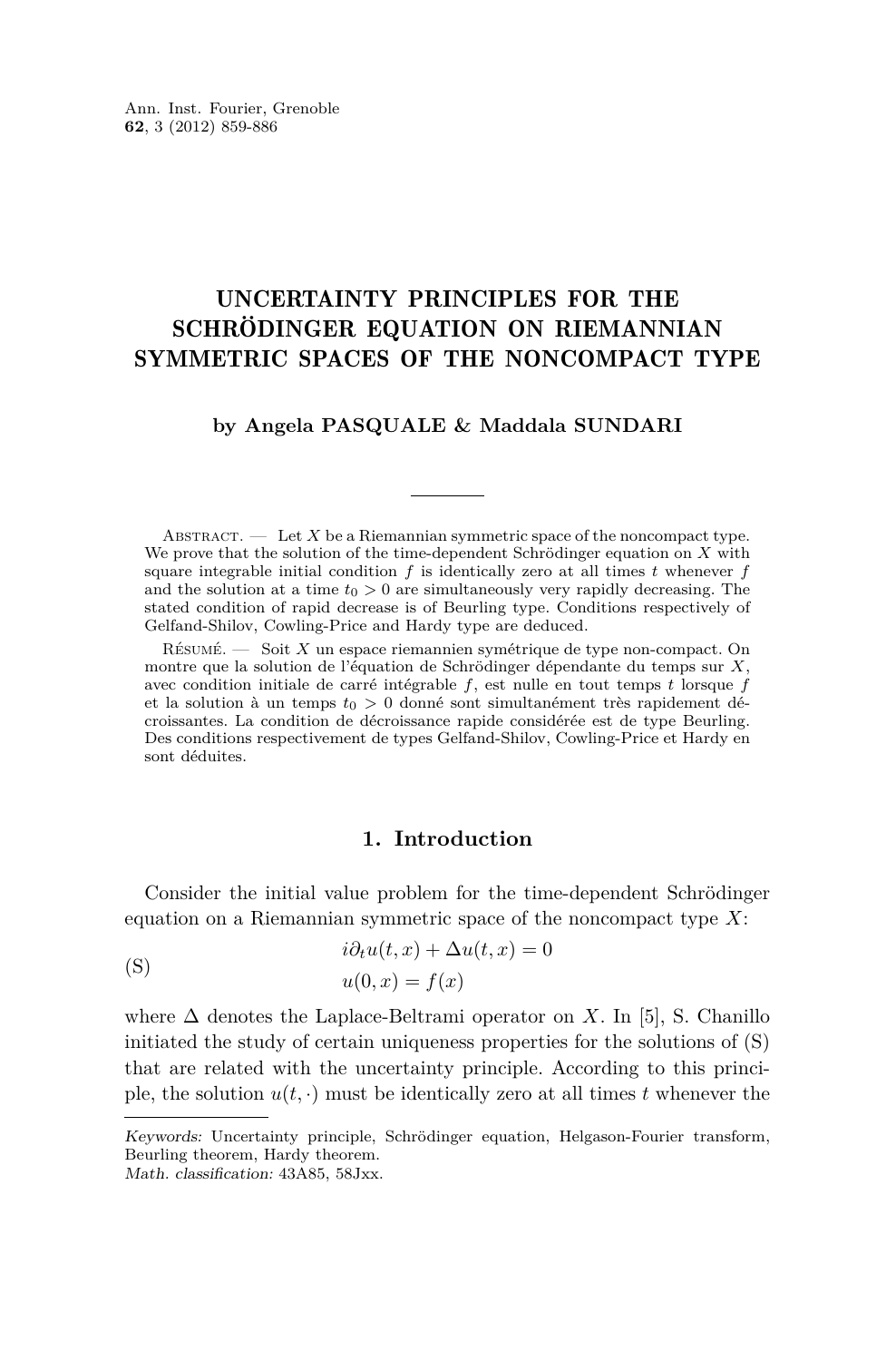# <span id="page-1-0"></span>UNCERTAINTY PRINCIPLES FOR THE SCHRÖDINGER EQUATION ON RIEMANNIAN SYMMETRIC SPACES OF THE NONCOMPACT TYPE

#### **by Angela PASQUALE & Maddala SUNDARI**

ABSTRACT.  $\qquad$  Let X be a Riemannian symmetric space of the noncompact type. We prove that the solution of the time-dependent Schrödinger equation on *X* with square integrable initial condition  $f$  is identically zero at all times  $t$  whenever  $f$ and the solution at a time  $t_0 > 0$  are simultaneously very rapidly decreasing. The stated condition of rapid decrease is of Beurling type. Conditions respectively of Gelfand-Shilov, Cowling-Price and Hardy type are deduced.

Résumé. — Soit *X* un espace riemannien symétrique de type non-compact. On montre que la solution de l'équation de Schrödinger dépendante du temps sur *X*, avec condition initiale de carré intégrable *f*, est nulle en tout temps *t* lorsque *f* et la solution à un temps *t*<sup>0</sup> *>* 0 donné sont simultanément très rapidement décroissantes. La condition de décroissance rapide considérée est de type Beurling. Des conditions respectivement de types Gelfand-Shilov, Cowling-Price et Hardy en sont déduites.

# **1. Introduction**

Consider the initial value problem for the time-dependent Schrödinger equation on a Riemannian symmetric space of the noncompact type *X*:

(S) 
$$
i\partial_t u(t, x) + \Delta u(t, x) = 0
$$

$$
u(0, x) = f(x)
$$

where  $\Delta$  denotes the Laplace-Beltrami operator on *X*. In [\[5\]](#page-27-0), S. Chanillo initiated the study of certain uniqueness properties for the solutions of (S) that are related with the uncertainty principle. According to this principle, the solution  $u(t, \cdot)$  must be identically zero at all times *t* whenever the

Math. classification: 43A85, 58Jxx.

Keywords: Uncertainty principle, Schrödinger equation, Helgason-Fourier transform, Beurling theorem, Hardy theorem.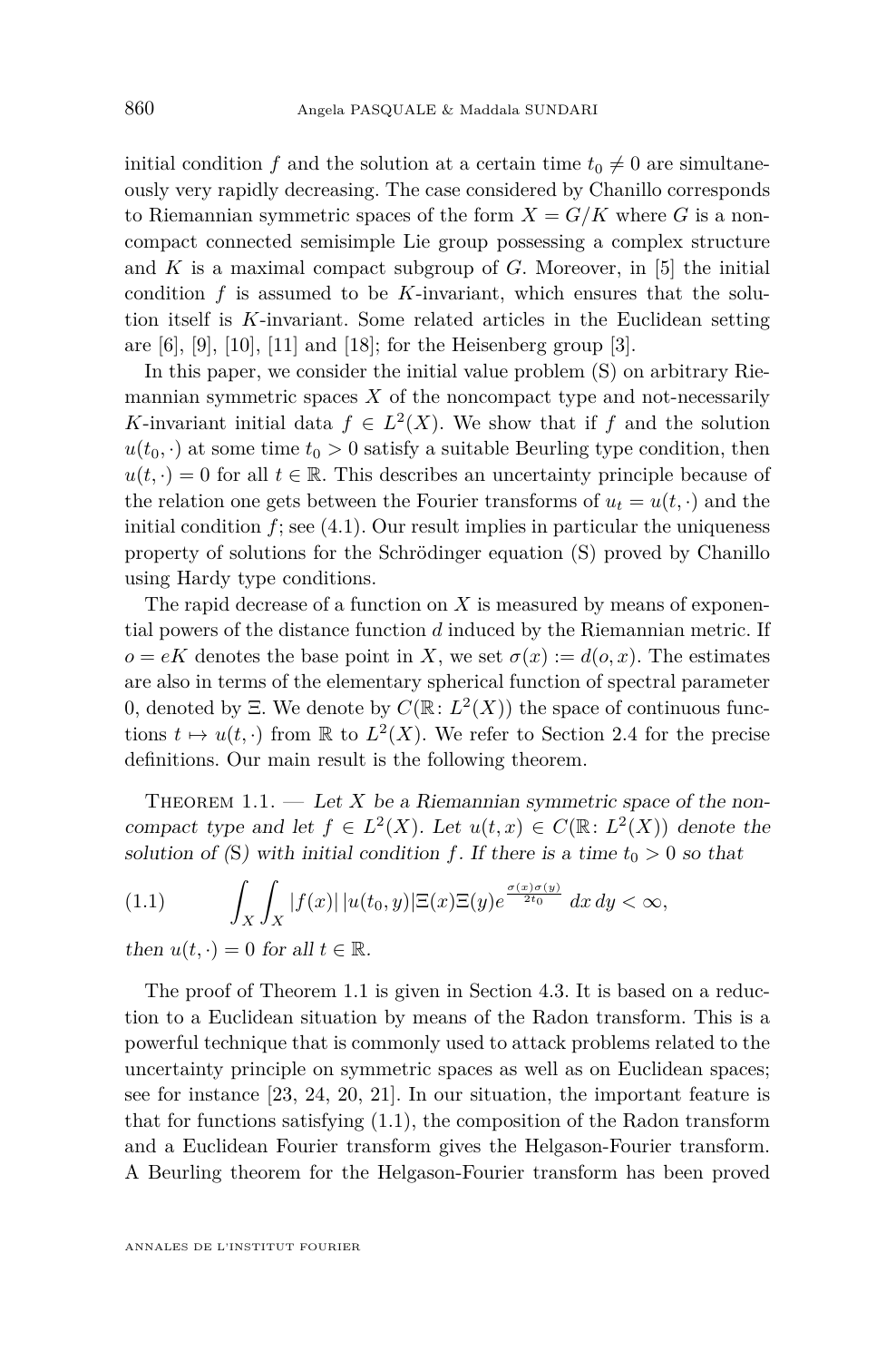<span id="page-2-0"></span>initial condition *f* and the solution at a certain time  $t_0 \neq 0$  are simultaneously very rapidly decreasing. The case considered by Chanillo corresponds to Riemannian symmetric spaces of the form  $X = G/K$  where G is a noncompact connected semisimple Lie group possessing a complex structure and *K* is a maximal compact subgroup of *G*. Moreover, in [\[5\]](#page-27-0) the initial condition  $f$  is assumed to be  $K$ -invariant, which ensures that the solution itself is *K*-invariant. Some related articles in the Euclidean setting are  $[6]$ ,  $[9]$ ,  $[10]$ ,  $[11]$  and  $[18]$ ; for the Heisenberg group  $[3]$ .

In this paper, we consider the initial value problem  $(S)$  on arbitrary Riemannian symmetric spaces  $X$  of the noncompact type and not-necessarily *K*-invariant initial data  $f \in L^2(X)$ . We show that if *f* and the solution  $u(t_0, \cdot)$  at some time  $t_0 > 0$  satisfy a suitable Beurling type condition, then  $u(t, \cdot) = 0$  for all  $t \in \mathbb{R}$ . This describes an uncertainty principle because of the relation one gets between the Fourier transforms of  $u_t = u(t, \cdot)$  and the initial condition  $f$ ; see  $(4.1)$ . Our result implies in particular the uniqueness property of solutions for the Schrödinger equation [\(S\)](#page-1-0) proved by Chanillo using Hardy type conditions.

The rapid decrease of a function on *X* is measured by means of exponential powers of the distance function *d* induced by the Riemannian metric. If  $o = eK$  denotes the base point in *X*, we set  $\sigma(x) := d(o, x)$ . The estimates are also in terms of the elementary spherical function of spectral parameter 0, denoted by  $\Xi$ . We denote by  $C(\mathbb{R}: L^2(X))$  the space of continuous functions  $t \mapsto u(t, \cdot)$  from R to  $L^2(X)$ . We refer to Section [2.4](#page-7-0) for the precise definitions. Our main result is the following theorem.

THEOREM  $1.1.$  — Let *X* be a Riemannian symmetric space of the noncompact type and let  $f \in L^2(X)$ . Let  $u(t, x) \in C(\mathbb{R} : L^2(X))$  denote the solution of ([S](#page-1-0)) with initial condition *f*. If there is a time  $t_0 > 0$  so that

(1.1) 
$$
\int_X \int_X |f(x)| |u(t_0, y)| \Xi(x) \Xi(y) e^{\frac{\sigma(x)\sigma(y)}{2t_0}} dx dy < \infty,
$$

then  $u(t, \cdot) = 0$  for all  $t \in \mathbb{R}$ .

The proof of Theorem 1.1 is given in Section [4.3.](#page-18-0) It is based on a reduction to a Euclidean situation by means of the Radon transform. This is a powerful technique that is commonly used to attack problems related to the uncertainty principle on symmetric spaces as well as on Euclidean spaces; see for instance [\[23,](#page-28-0) [24,](#page-28-0) [20,](#page-28-0) [21\]](#page-28-0). In our situation, the important feature is that for functions satisfying (1.1), the composition of the Radon transform and a Euclidean Fourier transform gives the Helgason-Fourier transform. A Beurling theorem for the Helgason-Fourier transform has been proved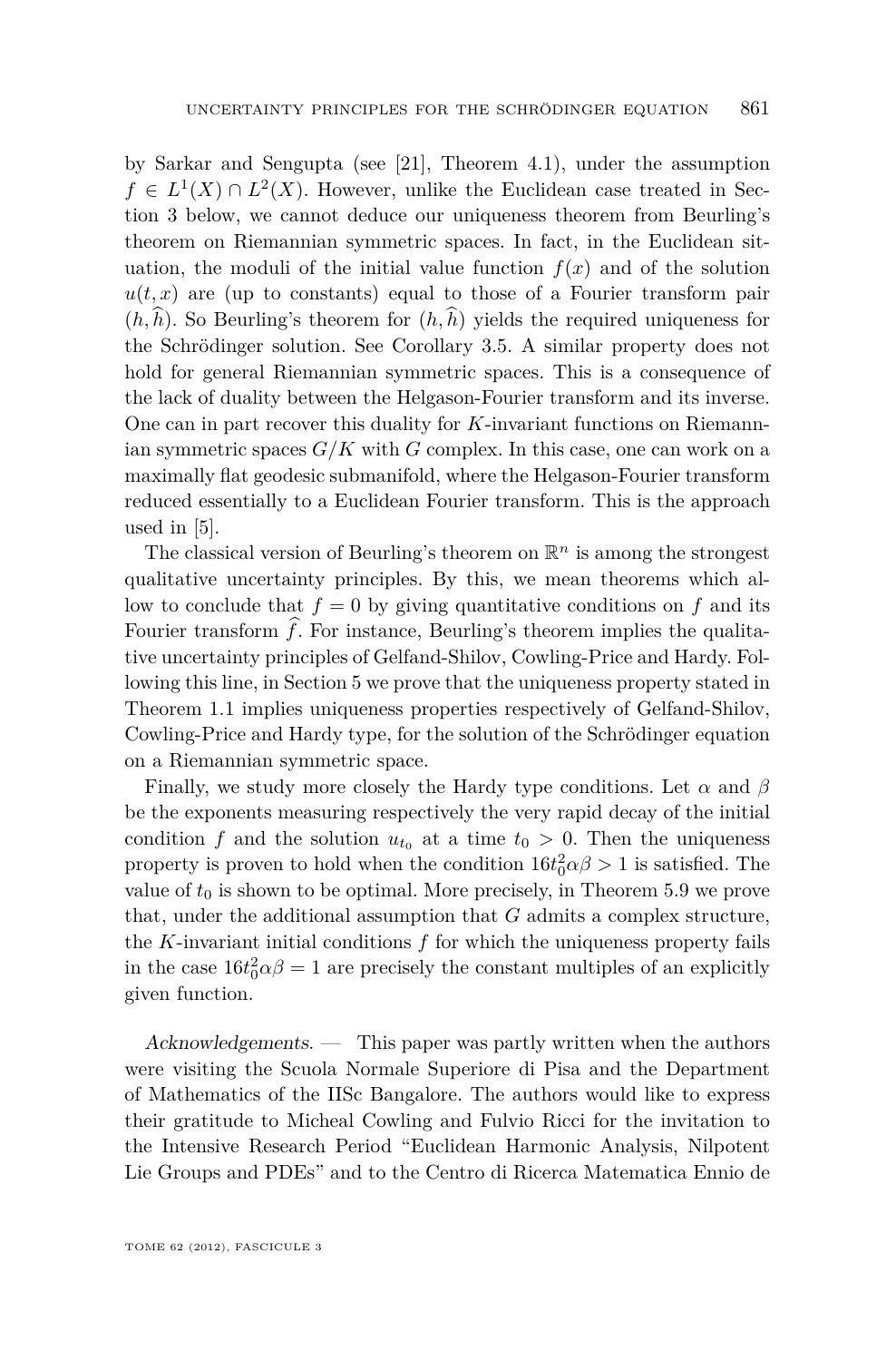by Sarkar and Sengupta (see [\[21\]](#page-28-0), Theorem 4.1), under the assumption  $f \in L^1(X) \cap L^2(X)$ . However, unlike the Euclidean case treated in Section [3](#page-10-0) below, we cannot deduce our uniqueness theorem from Beurling's theorem on Riemannian symmetric spaces. In fact, in the Euclidean situation, the moduli of the initial value function  $f(x)$  and of the solution  $u(t, x)$  are (up to constants) equal to those of a Fourier transform pair  $(h, \hat{h})$ . So Beurling's theorem for  $(h, \hat{h})$  yields the required uniqueness for the Schrödinger solution. See Corollary [3.5.](#page-13-0) A similar property does not hold for general Riemannian symmetric spaces. This is a consequence of the lack of duality between the Helgason-Fourier transform and its inverse. One can in part recover this duality for *K*-invariant functions on Riemannian symmetric spaces  $G/K$  with  $G$  complex. In this case, one can work on a maximally flat geodesic submanifold, where the Helgason-Fourier transform reduced essentially to a Euclidean Fourier transform. This is the approach used in [\[5\]](#page-27-0).

The classical version of Beurling's theorem on  $\mathbb{R}^n$  is among the strongest qualitative uncertainty principles. By this, we mean theorems which allow to conclude that  $f = 0$  by giving quantitative conditions on  $f$  and its Fourier transform  $\hat{f}$ . For instance, Beurling's theorem implies the qualitative uncertainty principles of Gelfand-Shilov, Cowling-Price and Hardy. Following this line, in Section [5](#page-21-0) we prove that the uniqueness property stated in Theorem [1.1](#page-2-0) implies uniqueness properties respectively of Gelfand-Shilov, Cowling-Price and Hardy type, for the solution of the Schrödinger equation on a Riemannian symmetric space.

Finally, we study more closely the Hardy type conditions. Let  $\alpha$  and  $\beta$ be the exponents measuring respectively the very rapid decay of the initial condition *f* and the solution  $u_{t_0}$  at a time  $t_0 > 0$ . Then the uniqueness property is proven to hold when the condition  $16t_0^2 \alpha \beta > 1$  is satisfied. The value of  $t_0$  is shown to be optimal. More precisely, in Theorem [5.9](#page-26-0) we prove that, under the additional assumption that *G* admits a complex structure, the  $K$ -invariant initial conditions  $f$  for which the uniqueness property fails in the case  $16t_0^2 \alpha \beta = 1$  are precisely the constant multiples of an explicitly given function.

Acknowledgements. — This paper was partly written when the authors were visiting the Scuola Normale Superiore di Pisa and the Department of Mathematics of the IISc Bangalore. The authors would like to express their gratitude to Micheal Cowling and Fulvio Ricci for the invitation to the Intensive Research Period "Euclidean Harmonic Analysis, Nilpotent Lie Groups and PDEs" and to the Centro di Ricerca Matematica Ennio de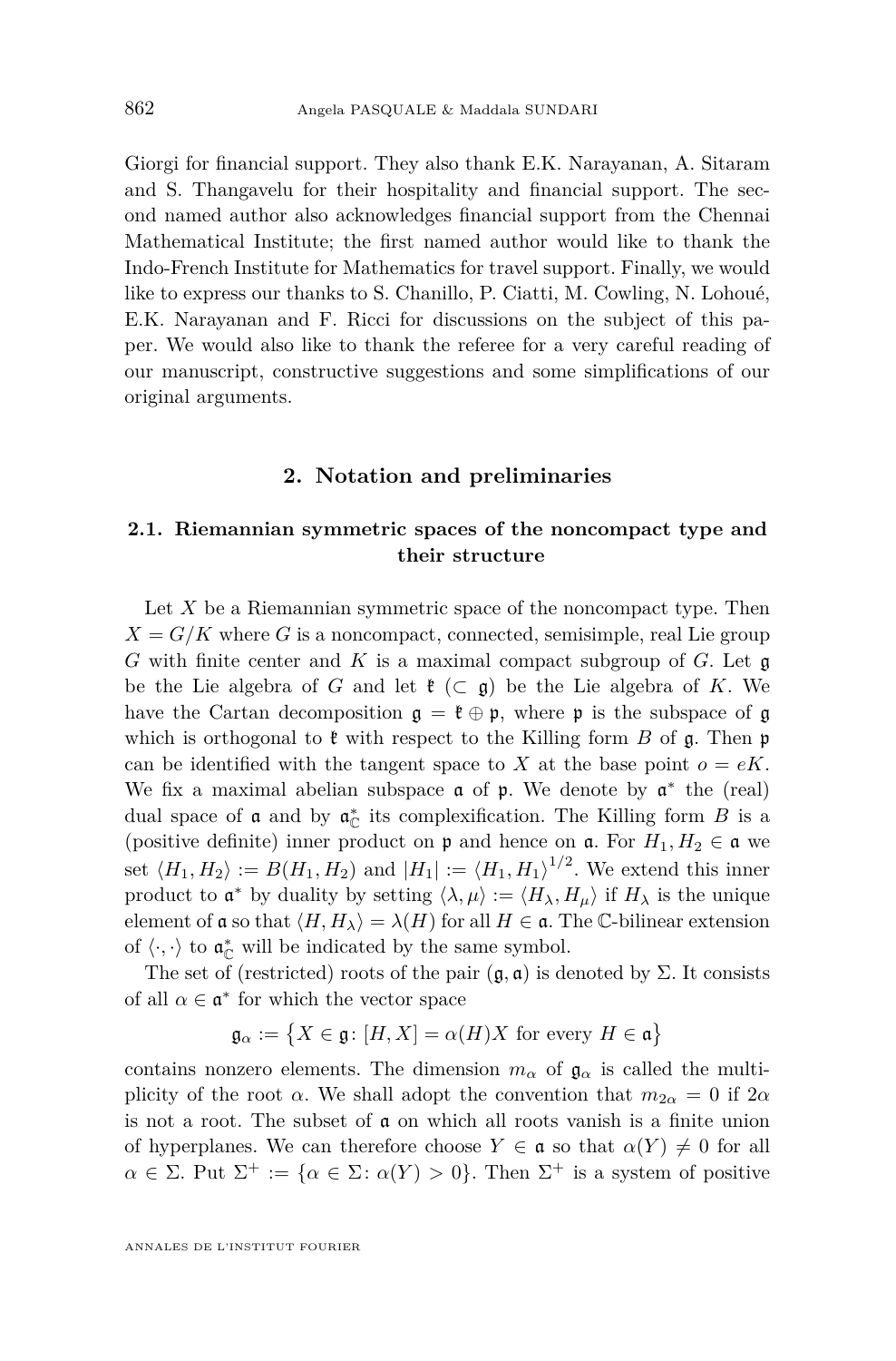Giorgi for financial support. They also thank E.K. Narayanan, A. Sitaram and S. Thangavelu for their hospitality and financial support. The second named author also acknowledges financial support from the Chennai Mathematical Institute; the first named author would like to thank the Indo-French Institute for Mathematics for travel support. Finally, we would like to express our thanks to S. Chanillo, P. Ciatti, M. Cowling, N. Lohoué, E.K. Narayanan and F. Ricci for discussions on the subject of this paper. We would also like to thank the referee for a very careful reading of our manuscript, constructive suggestions and some simplifications of our original arguments.

#### **2. Notation and preliminaries**

### **2.1. Riemannian symmetric spaces of the noncompact type and their structure**

Let *X* be a Riemannian symmetric space of the noncompact type. Then  $X = G/K$  where *G* is a noncompact, connected, semisimple, real Lie group *G* with finite center and *K* is a maximal compact subgroup of *G*. Let g be the Lie algebra of *G* and let  $\mathfrak{k}$  ( $\subset$   $\mathfrak{g}$ ) be the Lie algebra of *K*. We have the Cartan decomposition  $\mathfrak{g} = \mathfrak{k} \oplus \mathfrak{p}$ , where  $\mathfrak{p}$  is the subspace of  $\mathfrak{g}$ which is orthogonal to  $\mathfrak k$  with respect to the Killing form *B* of  $\mathfrak g$ . Then  $\mathfrak p$ can be identified with the tangent space to *X* at the base point  $o = eK$ . We fix a maximal abelian subspace  $a$  of  $p$ . We denote by  $a^*$  the (real) dual space of  $\mathfrak a$  and by  $\mathfrak a_{\mathbb C}^*$  its complexification. The Killing form *B* is a (positive definite) inner product on  $\mathfrak p$  and hence on  $\mathfrak a$ . For  $H_1, H_2 \in \mathfrak a$  we set  $\langle H_1, H_2 \rangle := B(H_1, H_2)$  and  $|H_1| := \langle H_1, H_1 \rangle^{1/2}$ . We extend this inner product to  $\mathfrak{a}^*$  by duality by setting  $\langle \lambda, \mu \rangle := \langle H_\lambda, H_\mu \rangle$  if  $H_\lambda$  is the unique element of  $\mathfrak a$  so that  $\langle H, H_\lambda \rangle = \lambda(H)$  for all  $H \in \mathfrak a$ . The C-bilinear extension of  $\langle \cdot, \cdot \rangle$  to  $\mathfrak{a}_{\mathbb{C}}^*$  will be indicated by the same symbol.

The set of (restricted) roots of the pair  $(\mathfrak{g}, \mathfrak{a})$  is denoted by  $\Sigma$ . It consists of all  $\alpha \in \mathfrak{a}^*$  for which the vector space

 $\mathfrak{g}_{\alpha} := \{ X \in \mathfrak{g} : [H, X] = \alpha(H)X \text{ for every } H \in \mathfrak{a} \}$ 

contains nonzero elements. The dimension  $m_{\alpha}$  of  $\mathfrak{g}_{\alpha}$  is called the multiplicity of the root *α*. We shall adopt the convention that  $m_{2\alpha} = 0$  if  $2\alpha$ is not a root. The subset of a on which all roots vanish is a finite union of hyperplanes. We can therefore choose  $Y \in \mathfrak{a}$  so that  $\alpha(Y) \neq 0$  for all  $\alpha \in \Sigma$ . Put  $\Sigma^+ := {\alpha \in \Sigma \colon \alpha(Y) > 0}$ . Then  $\Sigma^+$  is a system of positive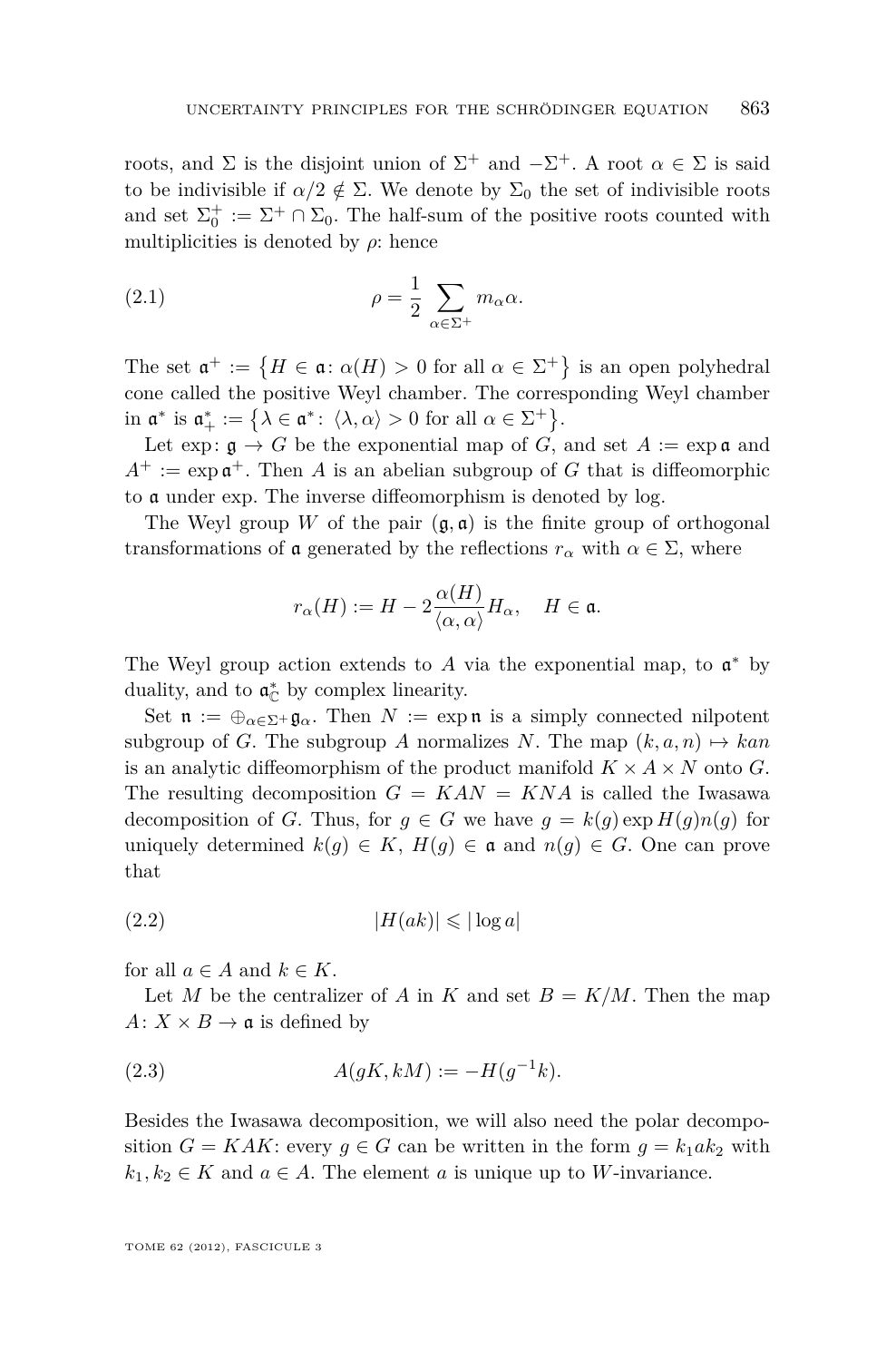roots, and  $\Sigma$  is the disjoint union of  $\Sigma^+$  and  $-\Sigma^+$ . A root  $\alpha \in \Sigma$  is said to be indivisible if  $\alpha/2 \notin \Sigma$ . We denote by  $\Sigma_0$  the set of indivisible roots and set  $\Sigma_0^+ := \Sigma^+ \cap \Sigma_0$ . The half-sum of the positive roots counted with multiplicities is denoted by  $\rho$ : hence

(2.1) 
$$
\rho = \frac{1}{2} \sum_{\alpha \in \Sigma^{+}} m_{\alpha} \alpha.
$$

The set  $\mathfrak{a}^+ := \{ H \in \mathfrak{a} : \alpha(H) > 0 \text{ for all } \alpha \in \Sigma^+ \}$  is an open polyhedral cone called the positive Weyl chamber. The corresponding Weyl chamber in  $\mathfrak{a}^*$  is  $\mathfrak{a}^*_+ := \big\{ \lambda \in \mathfrak{a}^* \colon \langle \lambda, \alpha \rangle > 0 \text{ for all } \alpha \in \Sigma^+ \big\}.$ 

Let exp:  $\mathfrak{g} \to G$  be the exponential map of *G*, and set  $A := \exp \mathfrak{a}$  and  $A^+ := \exp \mathfrak{a}^+$ . Then *A* is an abelian subgroup of *G* that is diffeomorphic to a under exp. The inverse diffeomorphism is denoted by log.

The Weyl group *W* of the pair  $(\mathfrak{g}, \mathfrak{a})$  is the finite group of orthogonal transformations of **a** generated by the reflections  $r_\alpha$  with  $\alpha \in \Sigma$ , where

$$
r_\alpha(H):=H-2\frac{\alpha(H)}{\langle\alpha,\alpha\rangle}H_\alpha,\quad H\in\mathfrak{a}.
$$

The Weyl group action extends to  $A$  via the exponential map, to  $\mathfrak{a}^*$  by duality, and to  $\mathfrak{a}_{\mathbb{C}}^*$  by complex linearity.

Set  $\mathfrak{n} := \bigoplus_{\alpha \in \Sigma^+} \mathfrak{g}_{\alpha}$ . Then  $N := \exp \mathfrak{n}$  is a simply connected nilpotent subgroup of *G*. The subgroup *A* normalizes *N*. The map  $(k, a, n) \mapsto kan$ is an analytic diffeomorphism of the product manifold  $K \times A \times N$  onto *G*. The resulting decomposition  $G = KAN = KNA$  is called the Iwasawa decomposition of *G*. Thus, for  $g \in G$  we have  $g = k(g) \exp H(g) n(g)$  for uniquely determined  $k(q) \in K$ ,  $H(q) \in \mathfrak{a}$  and  $n(q) \in G$ . One can prove that

 $|H(ak)| \leqslant |\log a|$ 

for all  $a \in A$  and  $k \in K$ .

Let *M* be the centralizer of *A* in *K* and set  $B = K/M$ . Then the map  $A: X \times B \rightarrow \mathfrak{a}$  is defined by

(2.3) 
$$
A(gK, kM) := -H(g^{-1}k).
$$

Besides the Iwasawa decomposition, we will also need the polar decomposition  $G = KAK$ : every  $g \in G$  can be written in the form  $g = k_1 a k_2$  with  $k_1, k_2 \in K$  and  $a \in A$ . The element *a* is unique up to *W*-invariance.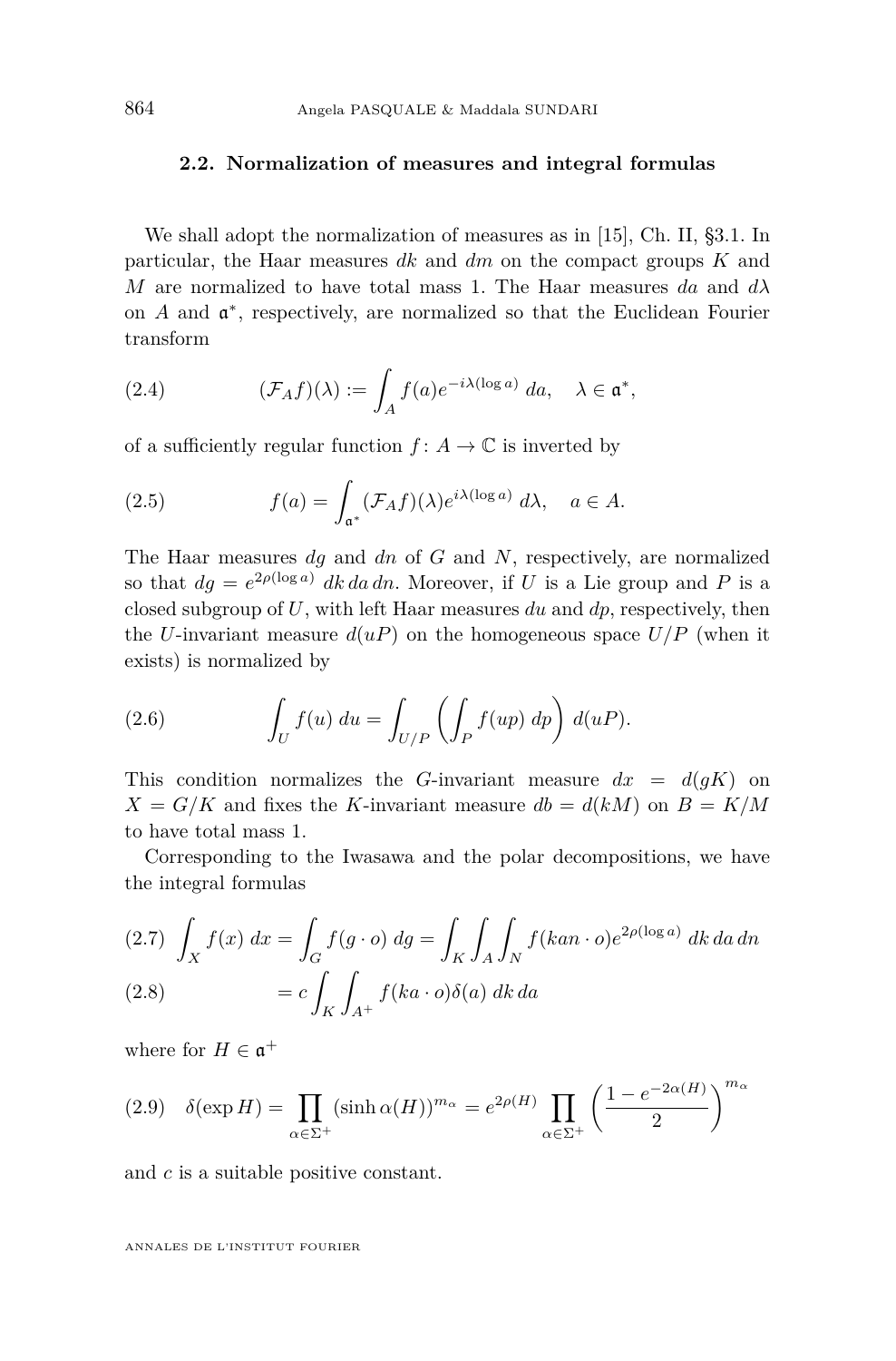#### <span id="page-6-0"></span>**2.2. Normalization of measures and integral formulas**

We shall adopt the normalization of measures as in [\[15\]](#page-28-0), Ch. II, §3.1. In particular, the Haar measures *dk* and *dm* on the compact groups *K* and *M* are normalized to have total mass 1. The Haar measures *da* and  $d\lambda$ on  $A$  and  $\mathfrak{a}^*$ , respectively, are normalized so that the Euclidean Fourier transform

(2.4) 
$$
(\mathcal{F}_A f)(\lambda) := \int_A f(a) e^{-i\lambda(\log a)} da, \quad \lambda \in \mathfrak{a}^*,
$$

of a sufficiently regular function  $f: A \to \mathbb{C}$  is inverted by

(2.5) 
$$
f(a) = \int_{\mathfrak{a}^*} (\mathcal{F}_A f)(\lambda) e^{i\lambda(\log a)} d\lambda, \quad a \in A.
$$

The Haar measures *dg* and *dn* of *G* and *N*, respectively, are normalized so that  $dg = e^{2\rho(\log a)}$  *dk da dn*. Moreover, if *U* is a Lie group and *P* is a closed subgroup of *U*, with left Haar measures *du* and *dp*, respectively, then the *U*-invariant measure  $d(uP)$  on the homogeneous space  $U/P$  (when it exists) is normalized by

(2.6) 
$$
\int_U f(u) du = \int_{U/P} \left( \int_P f(up) dp \right) d(uP).
$$

This condition normalizes the *G*-invariant measure  $dx = d(gK)$  on  $X = G/K$  and fixes the *K*-invariant measure  $db = d(kM)$  on  $B = K/M$ to have total mass 1.

Corresponding to the Iwasawa and the polar decompositions, we have the integral formulas

(2.7) 
$$
\int_{X} f(x) dx = \int_{G} f(g \cdot o) dg = \int_{K} \int_{A} \int_{N} f(kan \cdot o) e^{2\rho(\log a)} dk da dn
$$
  
(2.8) 
$$
= c \int_{K} \int_{A^{+}} f(ka \cdot o) \delta(a) dk da
$$

where for  $H \in \mathfrak{a}^+$ 

(2.9) 
$$
\delta(\exp H) = \prod_{\alpha \in \Sigma^{+}} (\sinh \alpha(H))^{m_{\alpha}} = e^{2\rho(H)} \prod_{\alpha \in \Sigma^{+}} \left(\frac{1 - e^{-2\alpha(H)}}{2}\right)^{m_{\alpha}}
$$

and *c* is a suitable positive constant.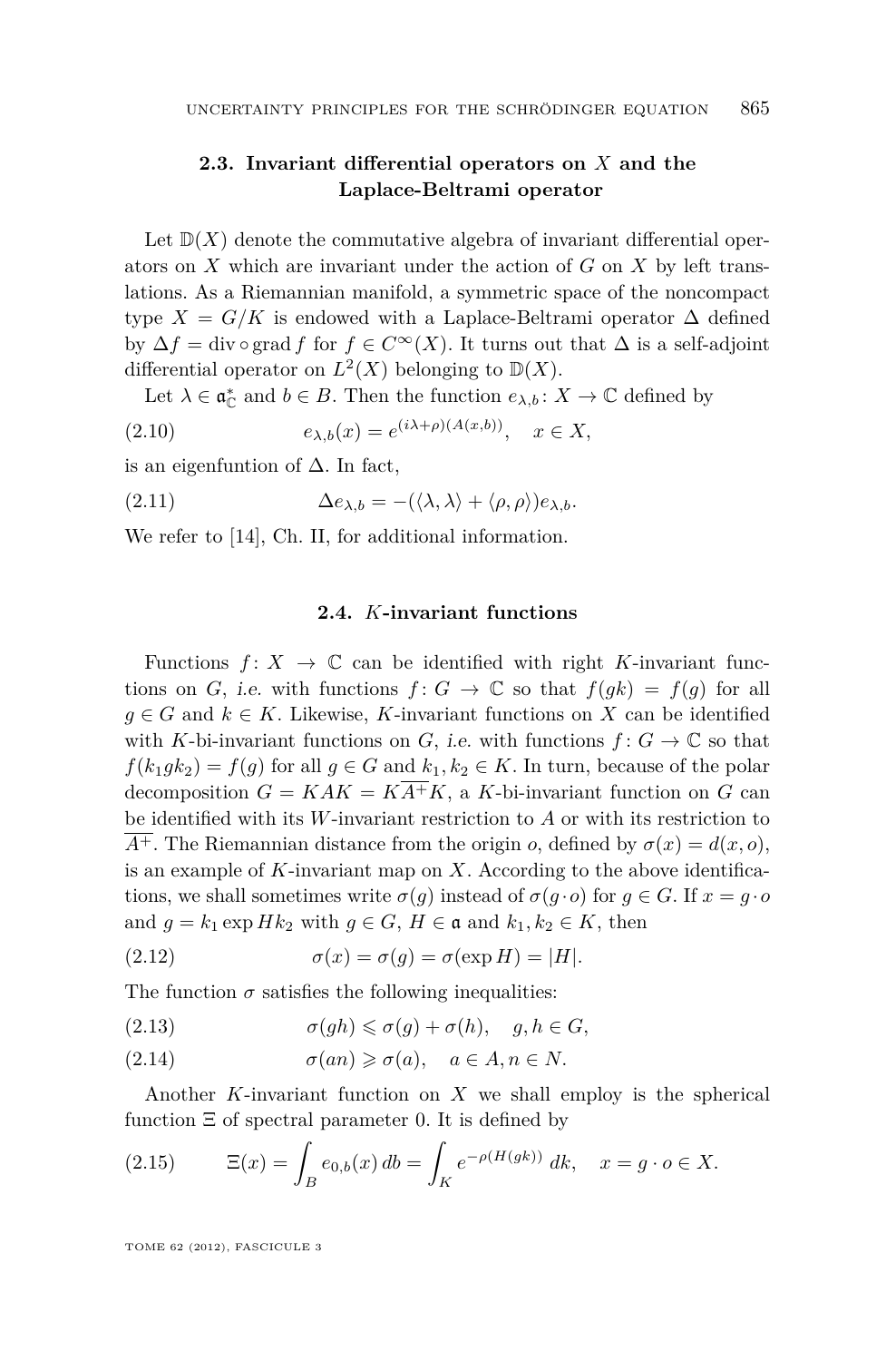# <span id="page-7-0"></span>**2.3. Invariant differential operators on** *X* **and the Laplace-Beltrami operator**

Let  $\mathbb{D}(X)$  denote the commutative algebra of invariant differential operators on *X* which are invariant under the action of *G* on *X* by left translations. As a Riemannian manifold, a symmetric space of the noncompact type  $X = G/K$  is endowed with a Laplace-Beltrami operator  $\Delta$  defined by  $\Delta f = \text{div} \circ \text{grad } f$  for  $f \in C^{\infty}(X)$ . It turns out that  $\Delta$  is a self-adjoint differential operator on  $L^2(X)$  belonging to  $\mathbb{D}(X)$ .

Let  $\lambda \in \mathfrak{a}_{\mathbb{C}}^*$  and  $b \in B$ . Then the function  $e_{\lambda,b}: X \to \mathbb{C}$  defined by

$$
(2.10) \t\t e_{\lambda,b}(x) = e^{(i\lambda + \rho)(A(x,b))}, \quad x \in X,
$$

is an eigenfuntion of  $\Delta$ . In fact,

(2.11) 
$$
\Delta e_{\lambda,b} = -(\langle \lambda, \lambda \rangle + \langle \rho, \rho \rangle) e_{\lambda,b}.
$$

We refer to [\[14\]](#page-28-0), Ch. II, for additional information.

#### **2.4.** *K***-invariant functions**

Functions  $f: X \to \mathbb{C}$  can be identified with right *K*-invariant functions on *G*, i.e. with functions  $f: G \to \mathbb{C}$  so that  $f(gk) = f(g)$  for all *g* ∈ *G* and  $k \in K$ . Likewise, *K*-invariant functions on *X* can be identified with *K*-bi-invariant functions on *G*, *i.e.* with functions  $f: G \to \mathbb{C}$  so that  $f(k_1 g k_2) = f(g)$  for all  $g \in G$  and  $k_1, k_2 \in K$ . In turn, because of the polar decomposition  $G = KAK = K\overline{A^{+}}K$ , a *K*-bi-invariant function on *G* can be identified with its *W*-invariant restriction to *A* or with its restriction to  $\overline{A^+}$ . The Riemannian distance from the origin *o*, defined by  $\sigma(x) = d(x, 0)$ , is an example of *K*-invariant map on *X*. According to the above identifications, we shall sometimes write  $\sigma(g)$  instead of  $\sigma(g \cdot o)$  for  $g \in G$ . If  $x = g \cdot o$ and  $g = k_1 \exp Hk_2$  with  $g \in G$ ,  $H \in \mathfrak{a}$  and  $k_1, k_2 \in K$ , then

(2.12) 
$$
\sigma(x) = \sigma(g) = \sigma(\exp H) = |H|.
$$

The function  $\sigma$  satisfies the following inequalities:

(2.13) 
$$
\sigma(gh) \leq \sigma(g) + \sigma(h), \quad g, h \in G,
$$

(2.14)  $\sigma(an) \geq \sigma(a), \quad a \in A, n \in N.$ 

Another *K*-invariant function on *X* we shall employ is the spherical function  $\Xi$  of spectral parameter 0. It is defined by

(2.15) 
$$
\Xi(x) = \int_B e_{0,b}(x) \, db = \int_K e^{-\rho(H(gk))} \, dk, \quad x = g \cdot o \in X.
$$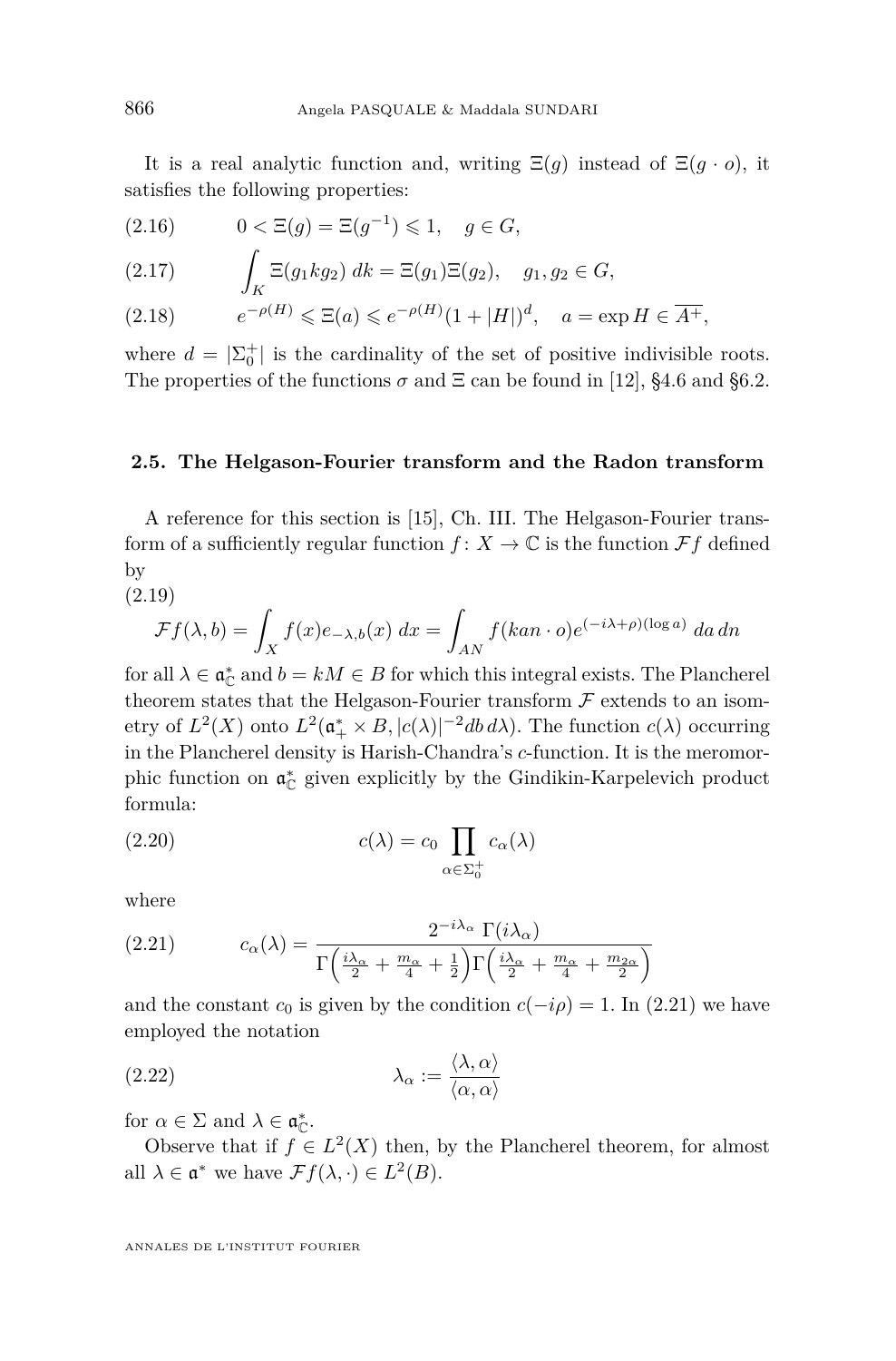It is a real analytic function and, writing  $\Xi(g)$  instead of  $\Xi(g \cdot o)$ , it satisfies the following properties:

(2.16) 
$$
0 < \Xi(g) = \Xi(g^{-1}) \le 1, \quad g \in G,
$$

(2.17) 
$$
\int_K \Xi(g_1 k g_2) \, dk = \Xi(g_1) \Xi(g_2), \quad g_1, g_2 \in G,
$$

$$
(2.18) \t e^{-\rho(H)} \leq \Xi(a) \leq e^{-\rho(H)} (1+|H|)^d, \quad a = \exp H \in \overline{A^+},
$$

where  $d = |\Sigma_0^+|$  is the cardinality of the set of positive indivisible roots. The properties of the functions  $\sigma$  and  $\Xi$  can be found in [\[12\]](#page-28-0), §4.6 and §6.2.

#### **2.5. The Helgason-Fourier transform and the Radon transform**

A reference for this section is [\[15\]](#page-28-0), Ch. III. The Helgason-Fourier transform of a sufficiently regular function  $f: X \to \mathbb{C}$  is the function  $\mathcal{F}f$  defined by

(2.19)

$$
\mathcal{F}f(\lambda, b) = \int_X f(x)e_{-\lambda, b}(x) dx = \int_{AN} f(kan \cdot o)e^{(-i\lambda + \rho)(\log a)} da \, dn
$$

for all  $\lambda \in \mathfrak{a}_{\mathbb{C}}^*$  and  $b = kM \in B$  for which this integral exists. The Plancherel theorem states that the Helgason-Fourier transform  $\mathcal F$  extends to an isometry of  $L^2(X)$  onto  $L^2(\mathfrak{a}_+^* \times B, |c(\lambda)|^{-2}db d\lambda)$ . The function  $c(\lambda)$  occurring in the Plancherel density is Harish-Chandra's *c*-function. It is the meromorphic function on  $\mathfrak{a}_{\mathbb{C}}^*$  given explicitly by the Gindikin-Karpelevich product formula:

(2.20) 
$$
c(\lambda) = c_0 \prod_{\alpha \in \Sigma_0^+} c_\alpha(\lambda)
$$

where

(2.21) 
$$
c_{\alpha}(\lambda) = \frac{2^{-i\lambda_{\alpha}} \Gamma(i\lambda_{\alpha})}{\Gamma\left(\frac{i\lambda_{\alpha}}{2} + \frac{m_{\alpha}}{4} + \frac{1}{2}\right) \Gamma\left(\frac{i\lambda_{\alpha}}{2} + \frac{m_{\alpha}}{4} + \frac{m_{2\alpha}}{2}\right)}
$$

and the constant  $c_0$  is given by the condition  $c(-i\rho) = 1$ . In (2.21) we have employed the notation

(2.22) 
$$
\lambda_{\alpha} := \frac{\langle \lambda, \alpha \rangle}{\langle \alpha, \alpha \rangle}
$$

for  $\alpha \in \Sigma$  and  $\lambda \in \mathfrak{a}_{\mathbb{C}}^*$ .

Observe that if  $f \in L^2(X)$  then, by the Plancherel theorem, for almost all  $\lambda \in \mathfrak{a}^*$  we have  $\mathcal{F}f(\lambda, \cdot) \in L^2(B)$ .

<span id="page-8-0"></span>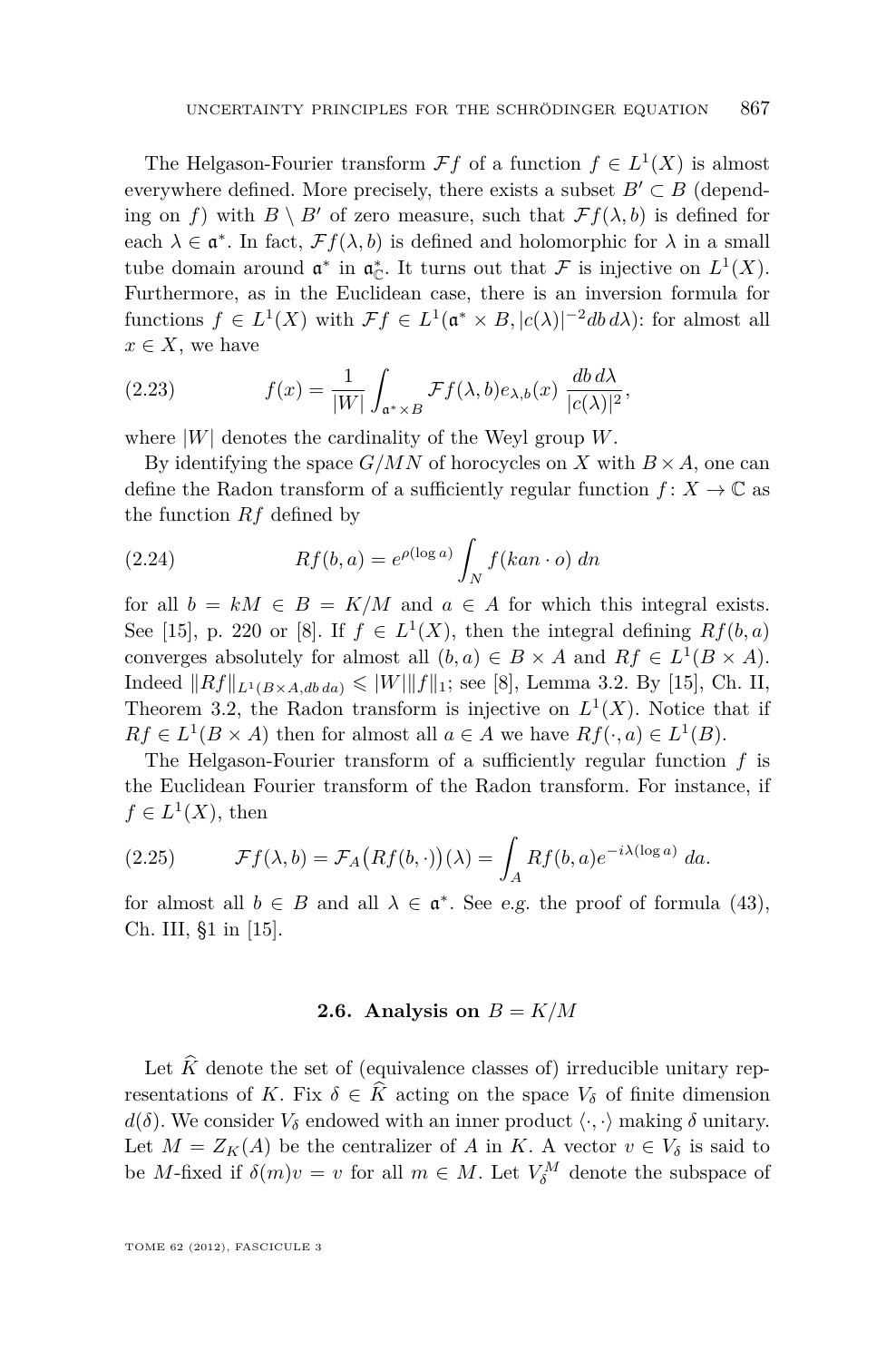<span id="page-9-0"></span>The Helgason-Fourier transform  $\mathcal{F}f$  of a function  $f \in L^1(X)$  is almost everywhere defined. More precisely, there exists a subset  $B' \subset B$  (depending on *f*) with  $B \setminus B'$  of zero measure, such that  $\mathcal{F}f(\lambda, b)$  is defined for each  $\lambda \in \mathfrak{a}^*$ . In fact,  $\mathcal{F}f(\lambda, b)$  is defined and holomorphic for  $\lambda$  in a small tube domain around  $\mathfrak{a}^*$  in  $\mathfrak{a}_{\mathbb{C}}^*$ . It turns out that  $\mathcal F$  is injective on  $L^1(X)$ . Furthermore, as in the Euclidean case, there is an inversion formula for functions  $f \in L^1(X)$  with  $\mathcal{F}f \in L^1(\mathfrak{a}^* \times B, |c(\lambda)|^{-2}db d\lambda)$ : for almost all  $x \in X$ , we have

(2.23) 
$$
f(x) = \frac{1}{|W|} \int_{\mathfrak{a}^* \times B} \mathcal{F}f(\lambda, b) e_{\lambda, b}(x) \frac{db \, d\lambda}{|c(\lambda)|^2},
$$

where |*W*| denotes the cardinality of the Weyl group *W*.

By identifying the space  $G/MN$  of horocycles on *X* with  $B \times A$ , one can define the Radon transform of a sufficiently regular function  $f: X \to \mathbb{C}$  as the function *Rf* defined by

(2.24) 
$$
Rf(b,a) = e^{\rho(\log a)} \int_N f(kan \cdot o) \, dn
$$

for all  $b = kM \in B = K/M$  and  $a \in A$  for which this integral exists. See [\[15\]](#page-28-0), p. 220 or [\[8\]](#page-27-0). If  $f \in L^1(X)$ , then the integral defining  $Rf(b,a)$ converges absolutely for almost all  $(b, a) \in B \times A$  and  $Rf \in L^1(B \times A)$ . Indeed  $||Rf||_{L^1(B \times A, db \, da)} \leq ||W|| ||f||_1$ ; see [\[8\]](#page-27-0), Lemma 3.2. By [\[15\]](#page-28-0), Ch. II, Theorem 3.2, the Radon transform is injective on  $L^1(X)$ . Notice that if  $Rf \in L^1(B \times A)$  then for almost all  $a \in A$  we have  $Rf(\cdot, a) \in L^1(B)$ .

The Helgason-Fourier transform of a sufficiently regular function *f* is the Euclidean Fourier transform of the Radon transform. For instance, if  $f \in L^1(X)$ , then

(2.25) 
$$
\mathcal{F}f(\lambda,b) = \mathcal{F}_A\big(Rf(b,\cdot)\big)(\lambda) = \int_A Rf(b,a)e^{-i\lambda(\log a)} da.
$$

for almost all  $b \in B$  and all  $\lambda \in \mathfrak{a}^*$ . See e.g. the proof of formula (43), Ch. III, §1 in [\[15\]](#page-28-0).

#### **2.6.** Analysis on  $B = K/M$

Let  $\hat{K}$  denote the set of (equivalence classes of) irreducible unitary representations of *K*. Fix  $\delta \in \hat{K}$  acting on the space  $V_{\delta}$  of finite dimension *d*( $\delta$ ). We consider  $V_{\delta}$  endowed with an inner product  $\langle \cdot, \cdot \rangle$  making  $\delta$  unitary. Let  $M = Z_K(A)$  be the centralizer of *A* in *K*. A vector  $v \in V_\delta$  is said to be *M*-fixed if  $\delta(m)v = v$  for all  $m \in M$ . Let  $V_{\delta}^M$  denote the subspace of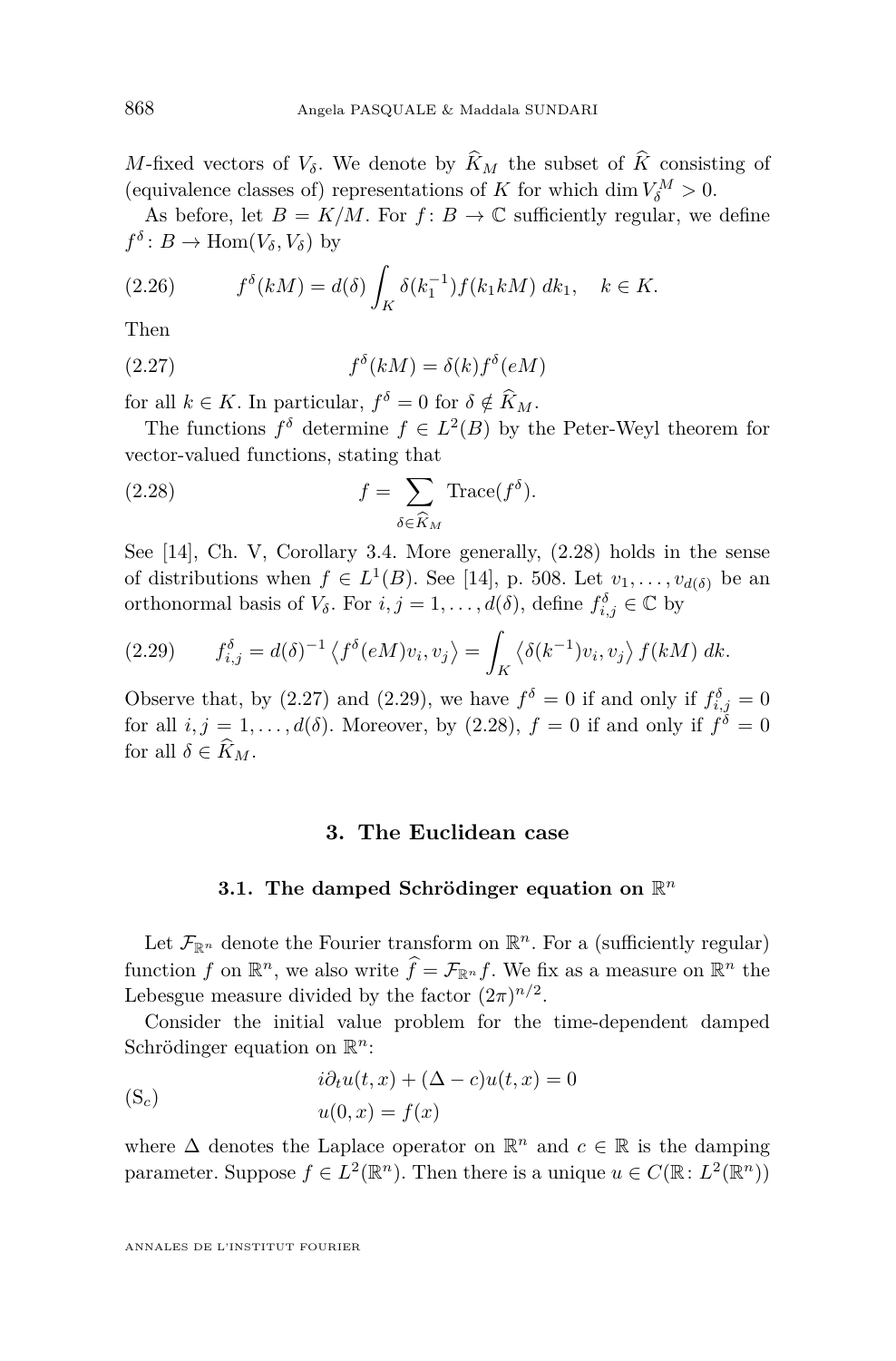<span id="page-10-0"></span>*M*-fixed vectors of  $V_{\delta}$ . We denote by  $\widehat{K}_M$  the subset of  $\widehat{K}$  consisting of (equivalence classes of) representations of *K* for which dim  $V_{\delta}^M > 0$ .

As before, let  $B = K/M$ . For  $f: B \to \mathbb{C}$  sufficiently regular, we define  $f^{\delta}: B \to \text{Hom}(V_{\delta}, V_{\delta})$  by

(2.26) 
$$
f^{\delta}(kM) = d(\delta) \int_{K} \delta(k_1^{-1}) f(k_1 k M) \, dk_1, \quad k \in K.
$$

Then

(2.27) 
$$
f^{\delta}(kM) = \delta(k)f^{\delta}(eM)
$$

for all  $k \in K$ . In particular,  $f^{\delta} = 0$  for  $\delta \notin \hat{K}_M$ .

The functions  $f^{\delta}$  determine  $f \in L^2(B)$  by the Peter-Weyl theorem for vector-valued functions, stating that

(2.28) 
$$
f = \sum_{\delta \in \widehat{K}_M} \text{Trace}(f^{\delta}).
$$

See [\[14\]](#page-28-0), Ch. V, Corollary 3.4. More generally, (2.28) holds in the sense of distributions when  $f \in L^1(B)$ . See [\[14\]](#page-28-0), p. 508. Let  $v_1, \ldots, v_{d(\delta)}$  be an orthonormal basis of *V*<sup> $\delta$ </sup>. For *i*, *j* = 1, . . . ,  $d(\delta)$ , define  $f_{i,j}^{\delta} \in \mathbb{C}$  by

(2.29) 
$$
f_{i,j}^{\delta} = d(\delta)^{-1} \left\langle f^{\delta}(eM)v_i, v_j \right\rangle = \int_K \left\langle \delta(k^{-1})v_i, v_j \right\rangle f(kM) \ dk.
$$

Observe that, by (2.27) and (2.29), we have  $f^{\delta} = 0$  if and only if  $f^{\delta}_{i,j} = 0$ for all  $i, j = 1, \ldots, d(\delta)$ . Moreover, by  $(2.28), f = 0$  if and only if  $f^{\delta} = 0$ for all  $\delta \in \widehat{K}_M$ .

#### **3. The Euclidean case**

# **3.1.** The damped Schrödinger equation on  $\mathbb{R}^n$

Let  $\mathcal{F}_{\mathbb{R}^n}$  denote the Fourier transform on  $\mathbb{R}^n$ . For a (sufficiently regular) function *f* on  $\mathbb{R}^n$ , we also write  $\hat{f} = \mathcal{F}_{\mathbb{R}^n} f$ . We fix as a measure on  $\mathbb{R}^n$  the Lebesgue measure divided by the factor  $(2\pi)^{n/2}$ .

Consider the initial value problem for the time-dependent damped Schrödinger equation on R *n*:

(S<sub>c</sub>)  

$$
i\partial_t u(t, x) + (\Delta - c)u(t, x) = 0
$$

$$
u(0, x) = f(x)
$$

where  $\Delta$  denotes the Laplace operator on  $\mathbb{R}^n$  and  $c \in \mathbb{R}$  is the damping parameter. Suppose  $f \in L^2(\mathbb{R}^n)$ . Then there is a unique  $u \in C(\mathbb{R}: L^2(\mathbb{R}^n))$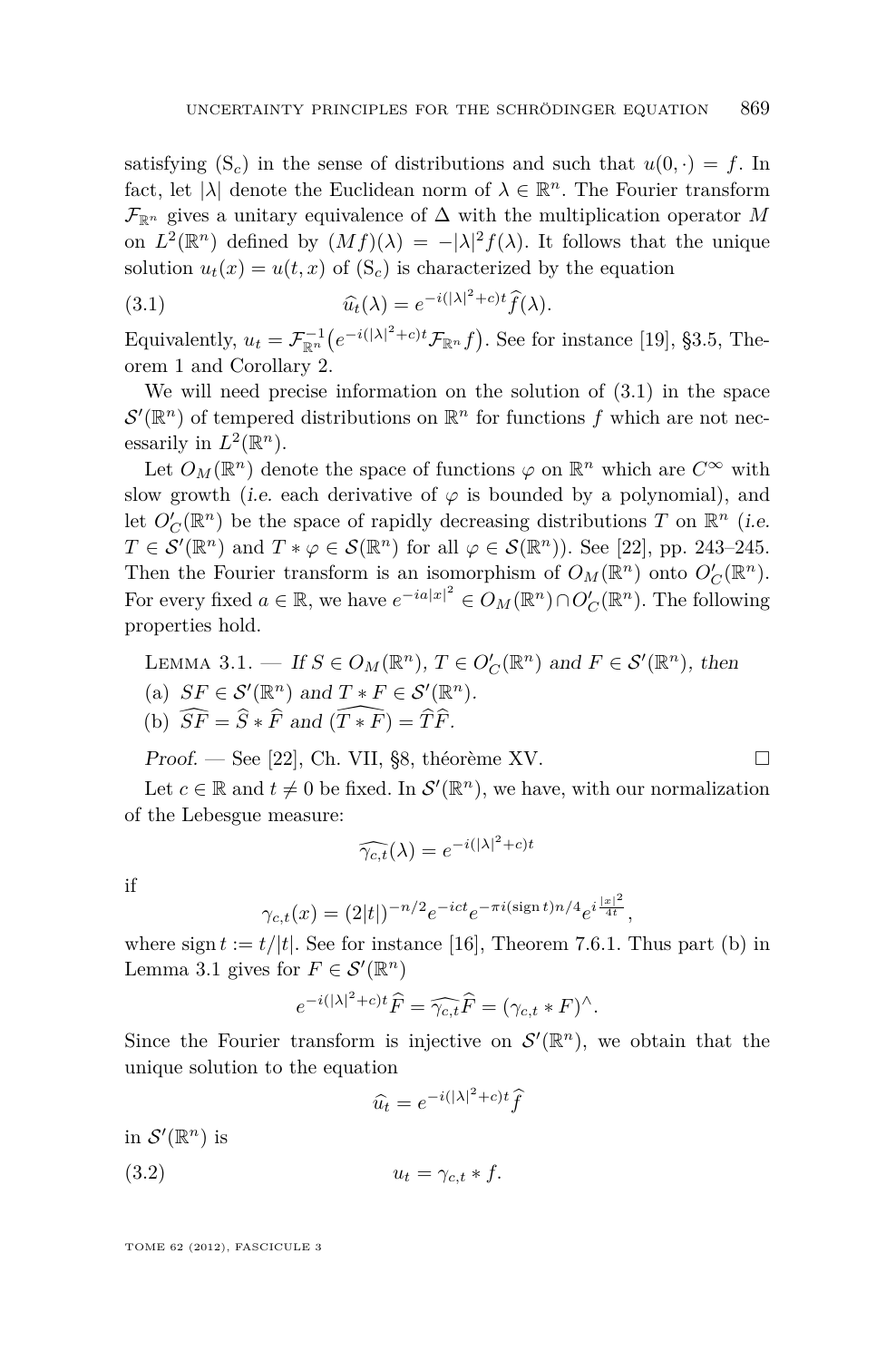<span id="page-11-0"></span>satisfying  $(S_c)$  $(S_c)$  in the sense of distributions and such that  $u(0, \cdot) = f$ . In fact, let  $|\lambda|$  denote the Euclidean norm of  $\lambda \in \mathbb{R}^n$ . The Fourier transform  $\mathcal{F}_{\mathbb{R}^n}$  gives a unitary equivalence of  $\Delta$  with the multiplication operator *M* on  $L^2(\mathbb{R}^n)$  defined by  $(Mf)(\lambda) = -|\lambda|^2 f(\lambda)$ . It follows that the unique solution  $u_t(x) = u(t, x)$  of  $(S_c)$  $(S_c)$  is characterized by the equation

(3.1) 
$$
\widehat{u}_t(\lambda) = e^{-i(|\lambda|^2 + c)t} \widehat{f}(\lambda).
$$

Equivalently,  $u_t = \mathcal{F}_{\mathbb{R}^n}^{-1} \big( e^{-i(|\lambda|^2 + c)t} \mathcal{F}_{\mathbb{R}^n} f \big)$ . See for instance [\[19\]](#page-28-0), §3.5, Theorem 1 and Corollary 2.

We will need precise information on the solution of (3.1) in the space  $\mathcal{S}'(\mathbb{R}^n)$  of tempered distributions on  $\mathbb{R}^n$  for functions f which are not necessarily in  $L^2(\mathbb{R}^n)$ .

Let  $O_M(\mathbb{R}^n)$  denote the space of functions  $\varphi$  on  $\mathbb{R}^n$  which are  $C^{\infty}$  with slow growth (i.e. each derivative of  $\varphi$  is bounded by a polynomial), and let  $O'_C(\mathbb{R}^n)$  be the space of rapidly decreasing distributions *T* on  $\mathbb{R}^n$  (i.e.  $T \in \mathcal{S}'(\mathbb{R}^n)$  and  $T * \varphi \in \mathcal{S}(\mathbb{R}^n)$  for all  $\varphi \in \mathcal{S}(\mathbb{R}^n)$ ). See [\[22\]](#page-28-0), pp. 243–245. Then the Fourier transform is an isomorphism of  $O_M(\mathbb{R}^n)$  onto  $O'_C(\mathbb{R}^n)$ . For every fixed  $a \in \mathbb{R}$ , we have  $e^{-ia|x|^2} \in O_M(\mathbb{R}^n) \cap O'_C(\mathbb{R}^n)$ . The following properties hold.

LEMMA 3.1. — If  $S \in O_M(\mathbb{R}^n)$ ,  $T \in O'_C(\mathbb{R}^n)$  and  $F \in S'(\mathbb{R}^n)$ , then

- (a)  $SF \in \mathcal{S}'(\mathbb{R}^n)$  and  $T * F \in \mathcal{S}'(\mathbb{R}^n)$ .
- (b)  $\widehat{SF} = \widehat{S} * \widehat{F}$  and  $(\widehat{T * F}) = \widehat{T} \widehat{F}$ .

Proof. — See [22], Ch. VII, §8, théorème XV. 
$$
\square
$$

Let  $c \in \mathbb{R}$  and  $t \neq 0$  be fixed. In  $\mathcal{S}'(\mathbb{R}^n)$ , we have, with our normalization of the Lebesgue measure:

$$
\widehat{\gamma_{c,t}}(\lambda) = e^{-i(|\lambda|^2 + c)t}
$$

if

$$
\gamma_{c,t}(x) = (2|t|)^{-n/2} e^{-ict} e^{-\pi i (\sin t) n/4} e^{i \frac{|x|^2}{4t}},
$$

where sign  $t := t/|t|$ . See for instance [\[16\]](#page-28-0), Theorem 7.6.1. Thus part (b) in Lemma 3.1 gives for  $F \in \mathcal{S}'(\mathbb{R}^n)$ 

$$
e^{-i(|\lambda|^2+c)t}\widehat{F}=\widehat{\gamma_{c,t}}\widehat{F}=(\gamma_{c,t}\ast F)^{\wedge}.
$$

Since the Fourier transform is injective on  $\mathcal{S}'(\mathbb{R}^n)$ , we obtain that the unique solution to the equation

$$
\widehat{u_t} = e^{-i(|\lambda|^2 + c)t} \widehat{f}
$$

in  $\mathcal{S}'(\mathbb{R}^n)$  is

(3.2)  $u_t = \gamma_{c,t} * f$ .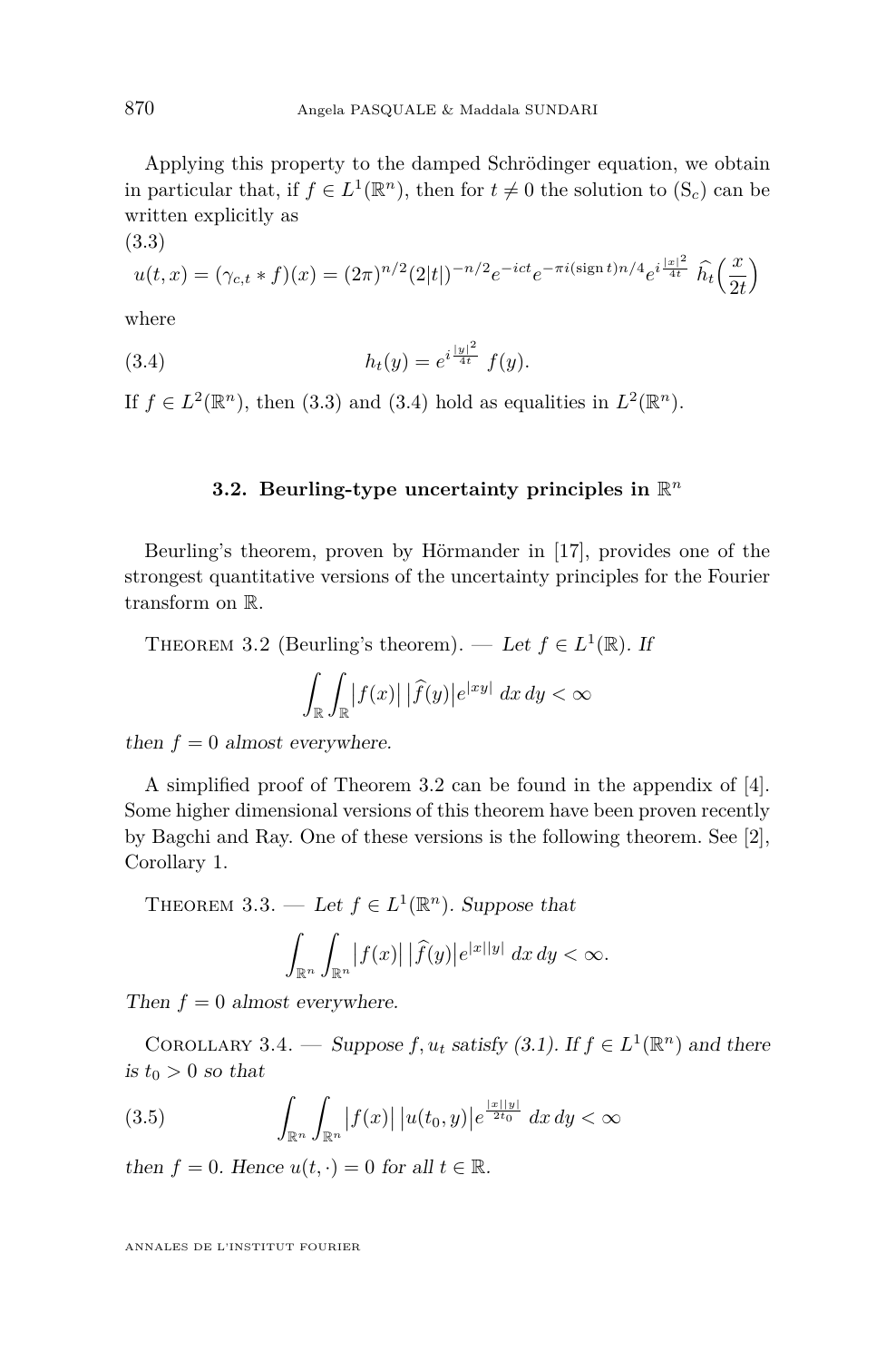<span id="page-12-0"></span>Applying this property to the damped Schrödinger equation, we obtain in particular that, if  $f \in L^1(\mathbb{R}^n)$ , then for  $t \neq 0$  the solution to  $(S_c)$  $(S_c)$  can be written explicitly as

$$
u(t,x) = (\gamma_{c,t} * f)(x) = (2\pi)^{n/2} (2|t|)^{-n/2} e^{-ict} e^{-\pi i (\text{sign }t) n/4} e^{i\frac{|x|^2}{4t}} \widehat{h_t} \left(\frac{x}{2t}\right)
$$

where

(3.3)

(3.4) 
$$
h_t(y) = e^{i\frac{|y|^2}{4t}} f(y).
$$

If  $f \in L^2(\mathbb{R}^n)$ , then (3.3) and (3.4) hold as equalities in  $L^2(\mathbb{R}^n)$ .

# **3.2. Beurling-type uncertainty principles in** R *n*

Beurling's theorem, proven by Hörmander in [\[17\]](#page-28-0), provides one of the strongest quantitative versions of the uncertainty principles for the Fourier transform on R.

THEOREM 3.2 (Beurling's theorem). — Let  $f \in L^1(\mathbb{R})$ . If

$$
\int_{\mathbb{R}} \int_{\mathbb{R}} |f(x)| |\widehat{f}(y)| e^{|xy|} dx dy < \infty
$$

then  $f = 0$  almost everywhere.

A simplified proof of Theorem 3.2 can be found in the appendix of [\[4\]](#page-27-0). Some higher dimensional versions of this theorem have been proven recently by Bagchi and Ray. One of these versions is the following theorem. See [\[2\]](#page-27-0), Corollary 1.

THEOREM 3.3. — Let  $f \in L^1(\mathbb{R}^n)$ . Suppose that

$$
\int_{\mathbb{R}^n} \int_{\mathbb{R}^n} |f(x)| |\widehat{f}(y)| e^{|x||y|} dx dy < \infty.
$$

Then  $f = 0$  almost everywhere.

COROLLARY 3.4. — Suppose  $f, u_t$  satisfy [\(3.1\)](#page-11-0). If  $f \in L^1(\mathbb{R}^n)$  and there is  $t_0 > 0$  so that

(3.5) 
$$
\int_{\mathbb{R}^n} \int_{\mathbb{R}^n} |f(x)| |u(t_0, y)| e^{\frac{|x||y|}{2t_0}} dx dy < \infty
$$

then  $f = 0$ . Hence  $u(t, \cdot) = 0$  for all  $t \in \mathbb{R}$ .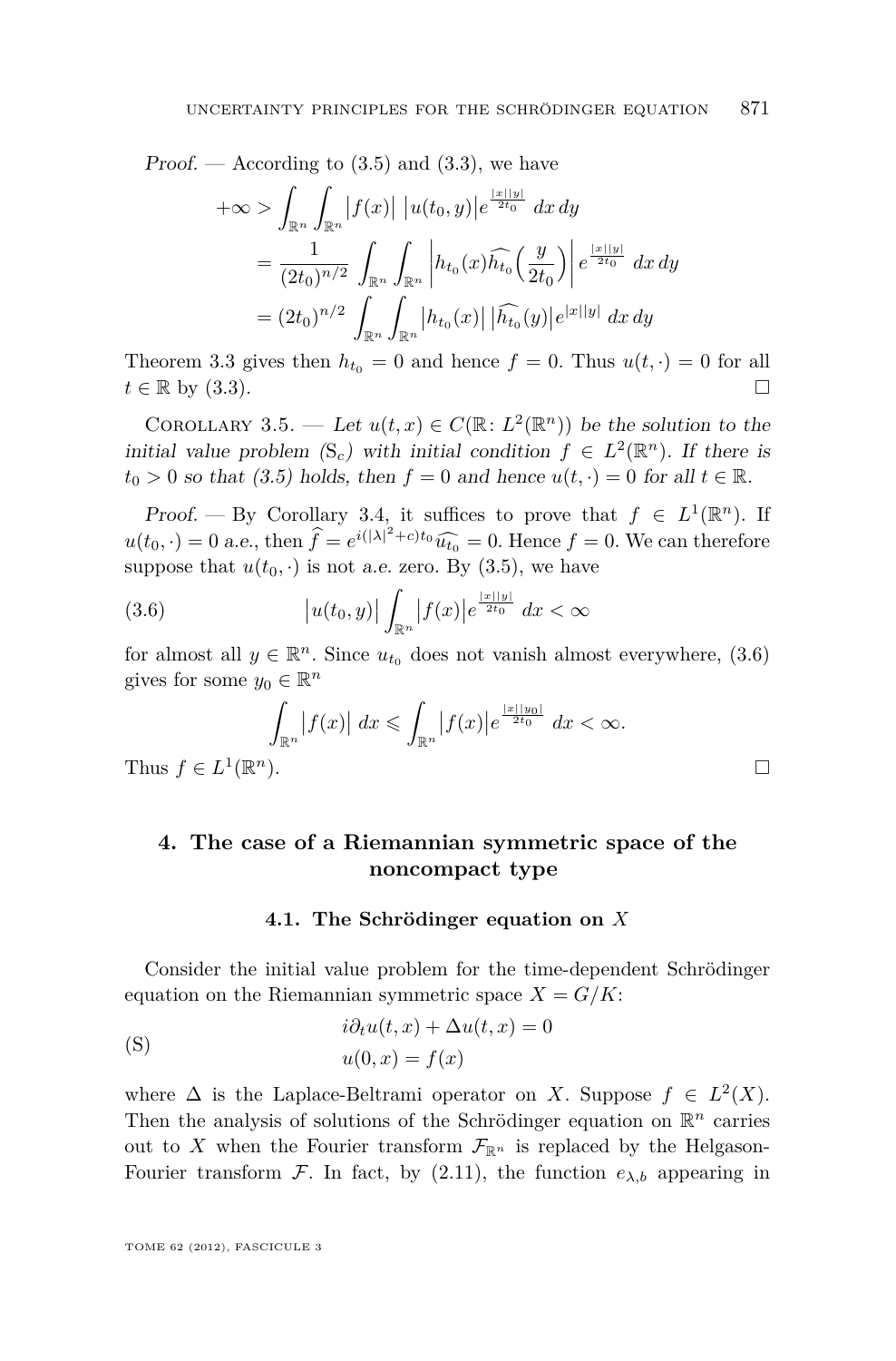<span id="page-13-0"></span>Proof. — According to  $(3.5)$  and  $(3.3)$ , we have

$$
+\infty > \int_{\mathbb{R}^n} \int_{\mathbb{R}^n} |f(x)| |u(t_0, y)| e^{\frac{|x||y|}{2t_0}} dx dy
$$
  
= 
$$
\frac{1}{(2t_0)^{n/2}} \int_{\mathbb{R}^n} \int_{\mathbb{R}^n} \left| h_{t_0}(x) \widehat{h_{t_0}} \left( \frac{y}{2t_0} \right) \right| e^{\frac{|x||y|}{2t_0}} dx dy
$$
  
= 
$$
(2t_0)^{n/2} \int_{\mathbb{R}^n} \int_{\mathbb{R}^n} |h_{t_0}(x)| |\widehat{h_{t_0}}(y)| e^{|x||y|} dx dy
$$

Theorem [3.3](#page-12-0) gives then  $h_{t_0} = 0$  and hence  $f = 0$ . Thus  $u(t, \cdot) = 0$  for all  $t \in \mathbb{R}$  by [\(3.3\)](#page-12-0).

COROLLARY 3.5. — Let  $u(t, x) \in C(\mathbb{R}: L^2(\mathbb{R}^n))$  be the solution to the initial value problem  $(S_c)$  $(S_c)$  $(S_c)$  with initial condition  $f \in L^2(\mathbb{R}^n)$ . If there is  $t_0 > 0$  so that [\(3.5\)](#page-12-0) holds, then  $f = 0$  and hence  $u(t, \cdot) = 0$  for all  $t \in \mathbb{R}$ .

Proof. — By Corollary [3.4,](#page-12-0) it suffices to prove that  $f \in L^1(\mathbb{R}^n)$ . If  $u(t_0, \cdot) = 0$  a.e., then  $\hat{f} = e^{i(|\lambda|^2 + c)t_0} \hat{u}_{t_0} = 0$ . Hence  $f = 0$ . We can therefore suppose that  $u(t_0, \cdot)$  is not a.e. zero. By [\(3.5\)](#page-12-0), we have

(3.6) 
$$
|u(t_0, y)| \int_{\mathbb{R}^n} |f(x)| e^{\frac{|x||y|}{2t_0}} dx < \infty
$$

for almost all  $y \in \mathbb{R}^n$ . Since  $u_{t_0}$  does not vanish almost everywhere, (3.6) gives for some  $y_0 \in \mathbb{R}^n$ 

$$
\int_{\mathbb{R}^n} |f(x)| dx \leqslant \int_{\mathbb{R}^n} |f(x)| e^{\frac{|x||y_0|}{2t_0}} dx < \infty.
$$

Thus  $f \in L^1(\mathbb{R})$ 

# **4. The case of a Riemannian symmetric space of the noncompact type**

#### **4.1. The Schrödinger equation on** *X*

Consider the initial value problem for the time-dependent Schrödinger equation on the Riemannian symmetric space  $X = G/K$ :

(S) 
$$
i\partial_t u(t, x) + \Delta u(t, x) = 0
$$

$$
u(0, x) = f(x)
$$

where  $\Delta$  is the Laplace-Beltrami operator on *X*. Suppose  $f \in L^2(X)$ . Then the analysis of solutions of the Schrödinger equation on R *<sup>n</sup>* carries out to X when the Fourier transform  $\mathcal{F}_{\mathbb{R}^n}$  is replaced by the Helgason-Fourier transform F. In fact, by  $(2.11)$ , the function  $e_{\lambda,b}$  appearing in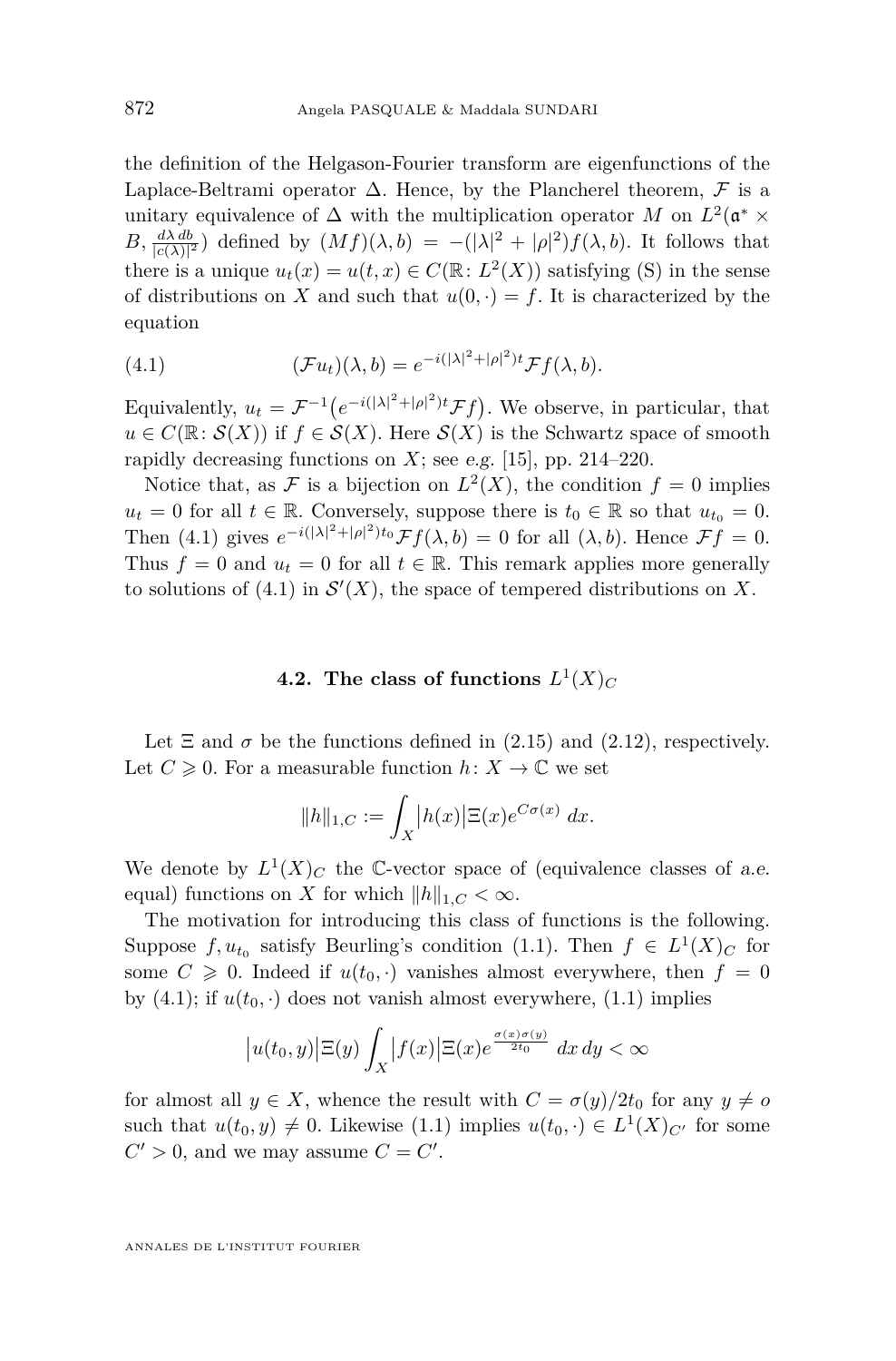<span id="page-14-0"></span>the definition of the Helgason-Fourier transform are eigenfunctions of the Laplace-Beltrami operator  $\Delta$ . Hence, by the Plancherel theorem,  $\mathcal F$  is a unitary equivalence of  $\Delta$  with the multiplication operator *M* on  $L^2(\mathfrak{a}^* \times$  $B, \frac{d\lambda d b}{|c(\lambda)|^2}$  defined by  $(Mf)(\lambda, b) = -(|\lambda|^2 + |\rho|^2)f(\lambda, b)$ . It follows that there is a unique  $u_t(x) = u(t, x) \in C(\mathbb{R}: L^2(X))$  satisfying [\(S\)](#page-1-0) in the sense of distributions on *X* and such that  $u(0, \cdot) = f$ . It is characterized by the equation

(4.1) 
$$
(\mathcal{F}u_t)(\lambda, b) = e^{-i(|\lambda|^2 + |\rho|^2)t} \mathcal{F}f(\lambda, b).
$$

Equivalently,  $u_t = \mathcal{F}^{-1}(e^{-i(|\lambda|^2 + |\rho|^2)t}\mathcal{F}f)$ . We observe, in particular, that  $u \in C(\mathbb{R}: \mathcal{S}(X))$  if  $f \in \mathcal{S}(X)$ . Here  $\mathcal{S}(X)$  is the Schwartz space of smooth rapidly decreasing functions on  $X$ ; see e.g. [\[15\]](#page-28-0), pp. 214–220.

Notice that, as F is a bijection on  $L^2(X)$ , the condition  $f = 0$  implies *u*<sup>*t*</sup> = 0 for all *t* ∈ R. Conversely, suppose there is *t*<sup>0</sup> ∈ R so that *u*<sup>*t*<sub>0</sub></sub> = 0.</sup> Then (4.1) gives  $e^{-i(|\lambda|^2+|\rho|^2)t_0}\mathcal{F}f(\lambda, b) = 0$  for all  $(\lambda, b)$ . Hence  $\mathcal{F}f = 0$ . Thus  $f = 0$  and  $u_t = 0$  for all  $t \in \mathbb{R}$ . This remark applies more generally to solutions of (4.1) in  $\mathcal{S}'(X)$ , the space of tempered distributions on X.

# **4.2.** The class of functions  $L^1(X)_C$

Let  $\Xi$  and  $\sigma$  be the functions defined in [\(2.15\)](#page-7-0) and [\(2.12\)](#page-7-0), respectively. Let  $C \geq 0$ . For a measurable function  $h: X \to \mathbb{C}$  we set

$$
||h||_{1,C} := \int_X |h(x)| \Xi(x) e^{C\sigma(x)} dx.
$$

We denote by  $L^1(X)_C$  the C-vector space of (equivalence classes of a.e. equal) functions on *X* for which  $||h||_{1,C} < \infty$ .

The motivation for introducing this class of functions is the following. Suppose  $f, u_{t_0}$  satisfy Beurling's condition [\(1.1\)](#page-2-0). Then  $f \in L^1(X)_C$  for some  $C \geq 0$ . Indeed if  $u(t_0, \cdot)$  vanishes almost everywhere, then  $f = 0$ by  $(4.1)$ ; if  $u(t_0, \cdot)$  does not vanish almost everywhere,  $(1.1)$  implies

$$
\left|u(t_0, y)\right| \Xi(y) \int_X \left|f(x)\right| \Xi(x) e^{\frac{\sigma(x)\sigma(y)}{2t_0}} dx dy < \infty
$$

for almost all  $y \in X$ , whence the result with  $C = \sigma(y)/2t_0$  for any  $y \neq o$ such that  $u(t_0, y) \neq 0$ . Likewise [\(1.1\)](#page-2-0) implies  $u(t_0, \cdot) \in L^1(X)_{C'}$  for some  $C' > 0$ , and we may assume  $C = C'$ .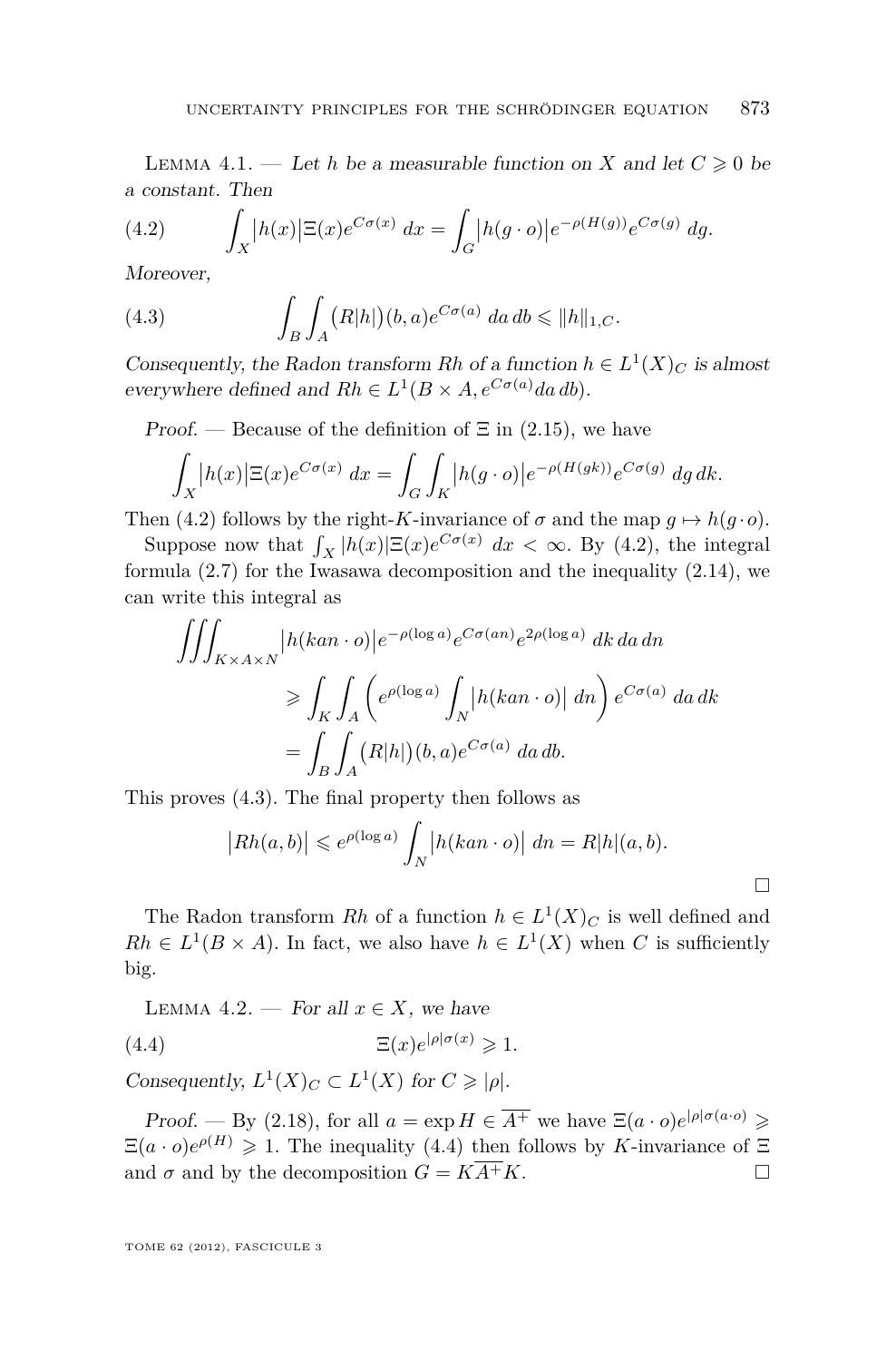<span id="page-15-0"></span>LEMMA 4.1. — Let *h* be a measurable function on *X* and let  $C \geq 0$  be a constant. Then

(4.2) 
$$
\int_X |h(x)| \Xi(x) e^{C\sigma(x)} dx = \int_G |h(g \cdot o)| e^{-\rho(H(g))} e^{C\sigma(g)} dg.
$$

Moreover,

(4.3) 
$$
\int_B \int_A (R|h|)(b,a)e^{C\sigma(a)}\,da\,db \leq \|h\|_{1,C}.
$$

Consequently, the Radon transform Rh of a function  $h \in L^1(X)_C$  is almost everywhere defined and  $Rh \in L^1(B \times A, e^{C\sigma(a)}da db)$ .

Proof. — Because of the definition of  $\Xi$  in [\(2.15\)](#page-7-0), we have

$$
\int_X |h(x)| \Xi(x) e^{C\sigma(x)} dx = \int_G \int_K |h(g \cdot o)| e^{-\rho(H(gk))} e^{C\sigma(g)} dg dk.
$$

Then (4.2) follows by the right-*K*-invariance of  $\sigma$  and the map  $g \mapsto h(g \cdot o)$ .

Suppose now that  $\int_X |h(x)| \Xi(x) e^{C\sigma(x)} dx < \infty$ . By (4.2), the integral formula [\(2.7\)](#page-6-0) for the Iwasawa decomposition and the inequality [\(2.14\)](#page-7-0), we can write this integral as

$$
\iiint_{K \times A \times N} |h(kan \cdot o)| e^{-\rho(\log a)} e^{C\sigma(an)} e^{2\rho(\log a)} dk da dn
$$
  
\n
$$
\geq \int_{K} \int_{A} \left( e^{\rho(\log a)} \int_{N} |h(kan \cdot o)| dn \right) e^{C\sigma(a)} da dk
$$
  
\n
$$
= \int_{B} \int_{A} (R|h|)(b, a) e^{C\sigma(a)} da db.
$$

This proves (4.3). The final property then follows as

$$
|Rh(a,b)| \leq e^{\rho(\log a)} \int_N |h(kan \cdot o)| \, dn = R|h|(a,b).
$$

The Radon transform Rh of a function  $h \in L^1(X)_C$  is well defined and  $Rh \in L^1(B \times A)$ . In fact, we also have  $h \in L^1(X)$  when *C* is sufficiently big.

LEMMA 4.2. — For all  $x \in X$ , we have

(4.4) 
$$
\Xi(x)e^{|\rho|\sigma(x)} \geq 1.
$$

Consequently,  $L^1(X)_C \subset L^1(X)$  for  $C \geqslant |\rho|$ .

Proof. — By [\(2.18\)](#page-8-0), for all  $a = \exp H \in \overline{A^+}$  we have  $\Xi(a \cdot o)e^{|\rho|\sigma(a \cdot o)} \geq$  $\Xi(a \cdot o)e^{\rho(H)} \geq 1$ . The inequality (4.4) then follows by *K*-invariance of  $\Xi$ and  $\sigma$  and by the decomposition  $G = K\overline{A^+}K$ .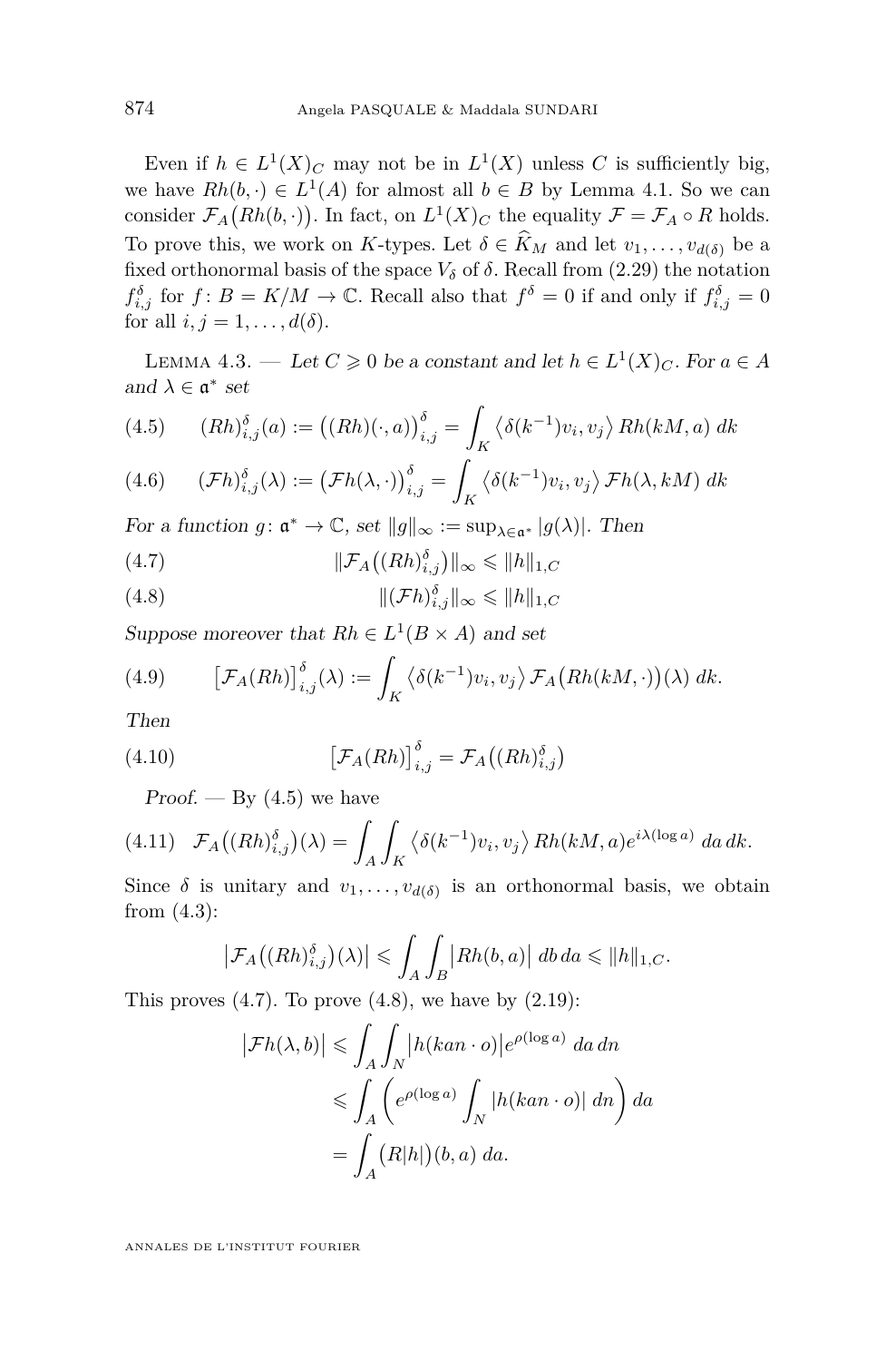<span id="page-16-0"></span>Even if  $h \in L^1(X)_C$  may not be in  $L^1(X)$  unless C is sufficiently big, we have  $Rh(b, \cdot) \in L^1(A)$  for almost all  $b \in B$  by Lemma [4.1.](#page-15-0) So we can consider  $\mathcal{F}_A\big(Rh(b,\cdot)\big)$ . In fact, on  $L^1(X)_C$  the equality  $\mathcal{F} = \mathcal{F}_A \circ R$  holds. To prove this, we work on *K*-types. Let  $\delta \in \widehat{K}_M$  and let  $v_1, \ldots, v_{d(\delta)}$  be a fixed orthonormal basis of the space  $V_\delta$  of  $\delta$ . Recall from [\(2.29\)](#page-10-0) the notation  $f^{\delta}_{i,j}$  for  $f: B = K/M \to \mathbb{C}$ . Recall also that  $f^{\delta} = 0$  if and only if  $f^{\delta}_{i,j} = 0$ for all  $i, j = 1, \ldots, d(\delta)$ .

LEMMA 4.3. — Let  $C \geq 0$  be a constant and let  $h \in L^1(X)_C$ . For  $a \in A$ and  $\lambda \in \mathfrak{a}^*$  set

(4.5) 
$$
(Rh)_{i,j}^{\delta}(a) := ((Rh)(\cdot, a))_{i,j}^{\delta} = \int_{K} \langle \delta(k^{-1})v_i, v_j \rangle Rh(kM, a) dk
$$

(4.6) 
$$
(\mathcal{F}h)_{i,j}^{\delta}(\lambda) := (\mathcal{F}h(\lambda,\cdot))_{i,j}^{\delta} = \int_{K} \langle \delta(k^{-1})v_i, v_j \rangle \mathcal{F}h(\lambda, kM) dk
$$

For a function  $g: \mathfrak{a}^* \to \mathbb{C}$ , set  $||g||_{\infty} := \sup_{\lambda \in \mathfrak{a}^*} |g(\lambda)|$ . Then

(4.7) 
$$
\|\mathcal{F}_A((Rh)_{i,j}^{\delta})\|_{\infty} \leq \|h\|_{1,C}
$$

(4.8) 
$$
\|(\mathcal{F}h)_{i,j}^{\delta}\|_{\infty} \leq \|h\|_{1,C}
$$

Suppose moreover that  $Rh \in L^1(B \times A)$  and set

(4.9) 
$$
\left[\mathcal{F}_A(Rh)\right]_{i,j}^{\delta}(\lambda) := \int_K \left\langle \delta(k^{-1})v_i, v_j \right\rangle \mathcal{F}_A\left(Rh(kM, \cdot)\right)(\lambda) \, dk.
$$

Then

(4.10) 
$$
\left[\mathcal{F}_A(Rh)\right]_{i,j}^{\delta} = \mathcal{F}_A\left((Rh)_{i,j}^{\delta}\right)
$$

Proof. — By  $(4.5)$  we have

$$
(4.11)\quad \mathcal{F}_A((Rh)_{i,j}^{\delta})(\lambda) = \int_A \int_K \langle \delta(k^{-1})v_i, v_j \rangle Rh(kM, a)e^{i\lambda(\log a)} da dk.
$$

Since  $\delta$  is unitary and  $v_1, \ldots, v_{d(\delta)}$  is an orthonormal basis, we obtain from [\(4.3\)](#page-15-0):

$$
\left|\mathcal{F}_A\big((Rh)_{i,j}^{\delta}\big)(\lambda)\right| \leqslant \int_A \int_B \left|Rh(b,a)\right| \, db \, da \leqslant \|h\|_{1,C}.
$$

This proves  $(4.7)$ . To prove  $(4.8)$ , we have by  $(2.19)$ :

$$
\left|\mathcal{F}h(\lambda,b)\right| \leq \int_A \int_N |h(kan \cdot o)| e^{\rho(\log a)} da \, dh
$$
  

$$
\leq \int_A \left(e^{\rho(\log a)} \int_N |h(kan \cdot o)| \, dn\right) da
$$
  

$$
= \int_A (R|h|)(b,a) \, da.
$$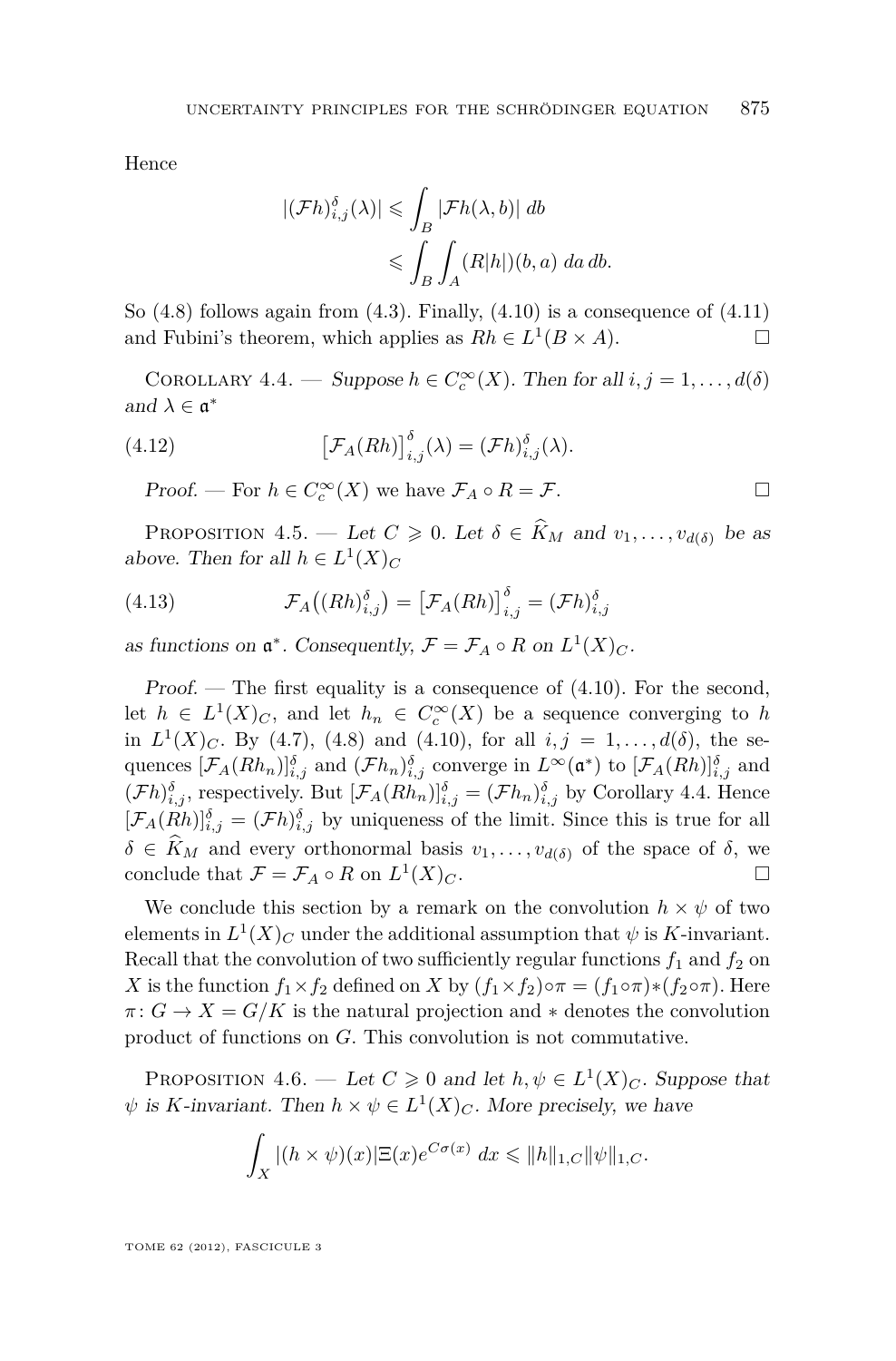<span id="page-17-0"></span>Hence

$$
|(\mathcal{F}h)_{i,j}^{\delta}(\lambda)| \leq \int_B |\mathcal{F}h(\lambda, b)| \, db
$$
  

$$
\leq \int_B \int_A (R|h|)(b, a) \, da \, db.
$$

So  $(4.8)$  follows again from  $(4.3)$ . Finally,  $(4.10)$  is a consequence of  $(4.11)$ and Fubini's theorem, which applies as  $Rh \in L^1(B \times A)$ .

COROLLARY 4.4. — Suppose  $h \in C_c^{\infty}(X)$ . Then for all  $i, j = 1, ..., d(\delta)$ and  $\lambda \in \mathfrak{a}^*$ 

(4.12) 
$$
\left[\mathcal{F}_A(Rh)\right]_{i,j}^{\delta}(\lambda) = (\mathcal{F}h)_{i,j}^{\delta}(\lambda).
$$

*Proof.* — For *h* ∈  $C_c^{\infty}(X)$  we have  $\mathcal{F}_A \circ R = \mathcal{F}$ .  $\Box$ 

PROPOSITION 4.5. — Let  $C \geq 0$ . Let  $\delta \in \widehat{K}_M$  and  $v_1, \ldots, v_{d(\delta)}$  be as above. Then for all  $h \in L^1(X)_C$ 

(4.13) 
$$
\mathcal{F}_A((Rh)_{i,j}^{\delta}) = [\mathcal{F}_A(Rh)]_{i,j}^{\delta} = (\mathcal{F}h)_{i,j}^{\delta}
$$

as functions on  $\mathfrak{a}^*$ . Consequently,  $\mathcal{F} = \mathcal{F}_A \circ R$  on  $L^1(X)_C$ .

Proof. — The first equality is a consequence of  $(4.10)$ . For the second, let  $h \in L^1(X)_C$ , and let  $h_n \in C_c^{\infty}(X)$  be a sequence converging to  $h$ in  $L^1(X)_C$ . By [\(4.7\)](#page-16-0), [\(4.8\)](#page-16-0) and [\(4.10\)](#page-16-0), for all  $i, j = 1, ..., d(\delta)$ , the sequences  $[\mathcal{F}_A(Rh_n)]_{i,j}^{\delta}$  and  $(\mathcal{F}h_n)_{i,j}^{\delta}$  converge in  $L^{\infty}(\mathfrak{a}^*)$  to  $[\mathcal{F}_A(Rh)]_{i,j}^{\delta}$  and  $(\mathcal{F}h)_{i,j}^{\delta}$ , respectively. But  $[\mathcal{F}_A(Rh_n)]_{i,j}^{\delta} = (\mathcal{F}h_n)_{i,j}^{\delta}$  by Corollary 4.4. Hence  $[\mathcal{F}_A(Rh)]_{i,j}^{\delta} = (\mathcal{F}h)_{i,j}^{\delta}$  by uniqueness of the limit. Since this is true for all  $\delta \in \widehat{K}_M$  and every orthonormal basis  $v_1, \ldots, v_{d(\delta)}$  of the space of  $\delta$ , we conclude that  $\mathcal{F} = \mathcal{F}_A \circ R$  on  $L^1(X)_{C}$ . conclude that  $\mathcal{F} = \mathcal{F}_A \circ R$  on  $L^1(X)_C$ .

We conclude this section by a remark on the convolution  $h \times \psi$  of two elements in  $L^1(X)_C$  under the additional assumption that  $\psi$  is *K*-invariant. Recall that the convolution of two sufficiently regular functions  $f_1$  and  $f_2$  on *X* is the function  $f_1 \times f_2$  defined on *X* by  $(f_1 \times f_2) \circ \pi = (f_1 \circ \pi) * (f_2 \circ \pi)$ . Here  $\pi: G \to X = G/K$  is the natural projection and  $*$  denotes the convolution product of functions on *G*. This convolution is not commutative.

PROPOSITION 4.6. — Let  $C \ge 0$  and let  $h, \psi \in L^1(X)_C$ . Suppose that  $\psi$  is *K*-invariant. Then  $h \times \psi \in L^1(X)_C$ . More precisely, we have

$$
\int_X |(h \times \psi)(x)| \Xi(x) e^{C\sigma(x)} dx \leq \|h\|_{1,C} \|\psi\|_{1,C}.
$$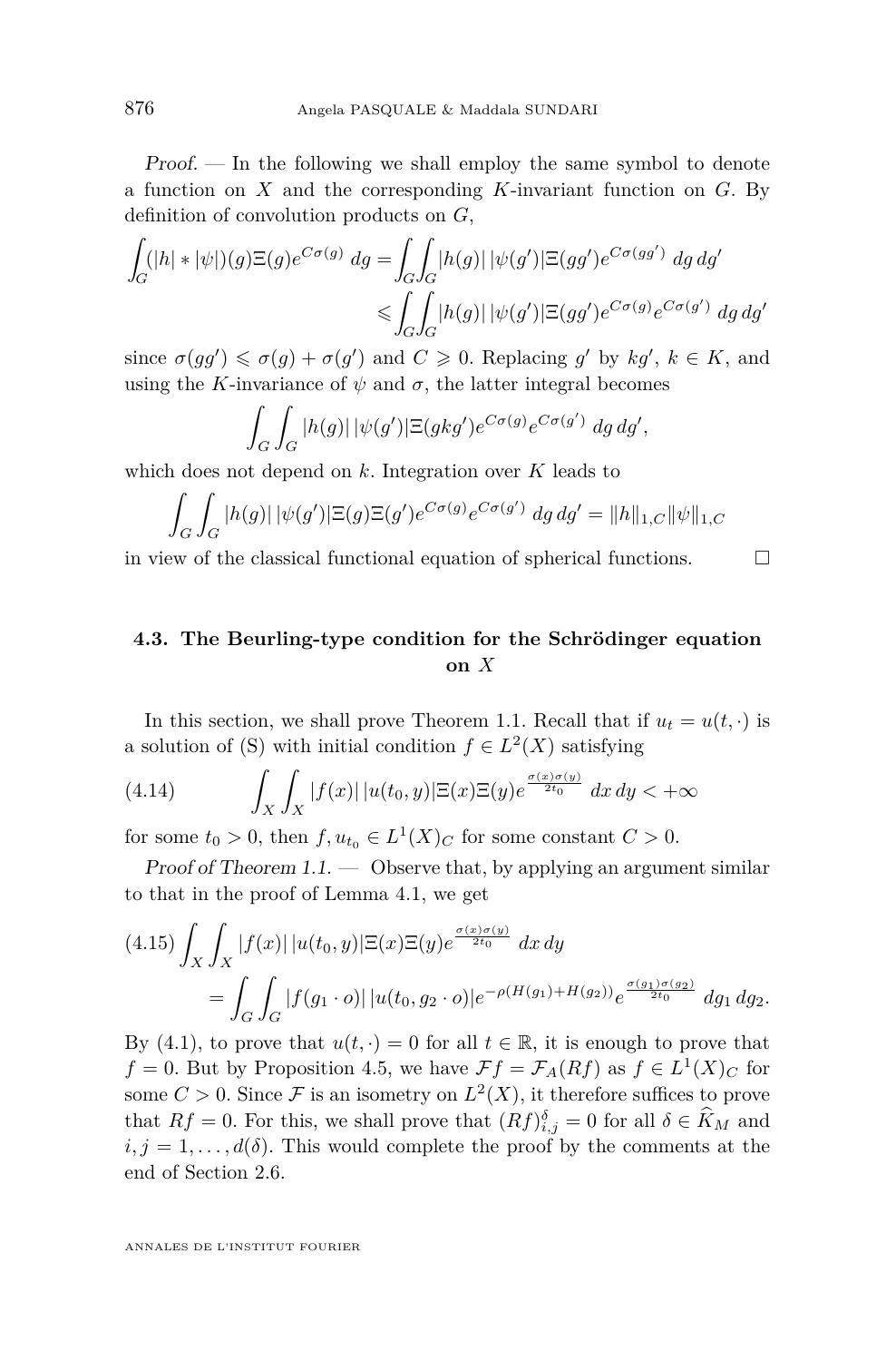<span id="page-18-0"></span>Proof. — In the following we shall employ the same symbol to denote a function on *X* and the corresponding *K*-invariant function on *G*. By definition of convolution products on *G*,

$$
\int_G (|h| * |\psi|)(g) \Xi(g) e^{C\sigma(g)} dg = \int_G \int_G |h(g)| |\psi(g')| \Xi(gg') e^{C\sigma(gg')} dg dg'
$$
  

$$
\leqslant \int_G \int_G |h(g)| |\psi(g')| \Xi(gg') e^{C\sigma(g)} e^{C\sigma(g')} dg dg'
$$

since  $\sigma(gg') \leq \sigma(g) + \sigma(g')$  and  $C \geq 0$ . Replacing g' by  $kg'$ ,  $k \in K$ , and using the *K*-invariance of  $\psi$  and  $\sigma$ , the latter integral becomes

$$
\int_G \int_G |h(g)| \, |\psi(g')| \Xi(gkg') e^{C\sigma(g)} e^{C\sigma(g')} \, dg \, dg',
$$

which does not depend on *k*. Integration over *K* leads to

$$
\int_G \int_G |h(g)| \, |\psi(g')| \Xi(g) \Xi(g') e^{C\sigma(g)} e^{C\sigma(g')} \, dg \, dg' = \|h\|_{1,C} \|\psi\|_{1,C}
$$

in view of the classical functional equation of spherical functions.  $\Box$ 

# **4.3. The Beurling-type condition for the Schrödinger equation on** *X*

In this section, we shall prove Theorem [1.1.](#page-2-0) Recall that if  $u_t = u(t, \cdot)$  is a solution of [\(S\)](#page-1-0) with initial condition  $f \in L^2(X)$  satisfying

(4.14) 
$$
\int_X \int_X |f(x)| |u(t_0, y)| \Xi(x) \Xi(y) e^{\frac{\sigma(x)\sigma(y)}{2t_0}} dx dy < +\infty
$$

for some  $t_0 > 0$ , then  $f, u_{t_0} \in L^1(X)_C$  for some constant  $C > 0$ .

Proof of Theorem  $1.1.$   $\longrightarrow$  Observe that, by applying an argument similar to that in the proof of Lemma [4.1,](#page-15-0) we get

$$
(4.15)\int_X \int_X |f(x)| |u(t_0, y)| \Xi(x) \Xi(y) e^{\frac{\sigma(x)\sigma(y)}{2t_0}} dx dy
$$
  
= 
$$
\int_G \int_G |f(g_1 \cdot o)| |u(t_0, g_2 \cdot o)| e^{-\rho(H(g_1) + H(g_2))} e^{\frac{\sigma(g_1)\sigma(g_2)}{2t_0}} dg_1 dg_2.
$$

By [\(4.1\)](#page-14-0), to prove that  $u(t, \cdot) = 0$  for all  $t \in \mathbb{R}$ , it is enough to prove that  $f = 0$ . But by Proposition [4.5,](#page-17-0) we have  $\mathcal{F}f = \mathcal{F}_A(Rf)$  as  $f \in L^1(X)_C$  for some  $C > 0$ . Since F is an isometry on  $L^2(X)$ , it therefore suffices to prove that  $Rf = 0$ . For this, we shall prove that  $(Rf)_{i,j}^{\delta} = 0$  for all  $\delta \in \hat{K}_M$  and  $i, j = 1, \ldots, d(\delta)$ . This would complete the proof by the comments at the end of Section [2.6.](#page-9-0)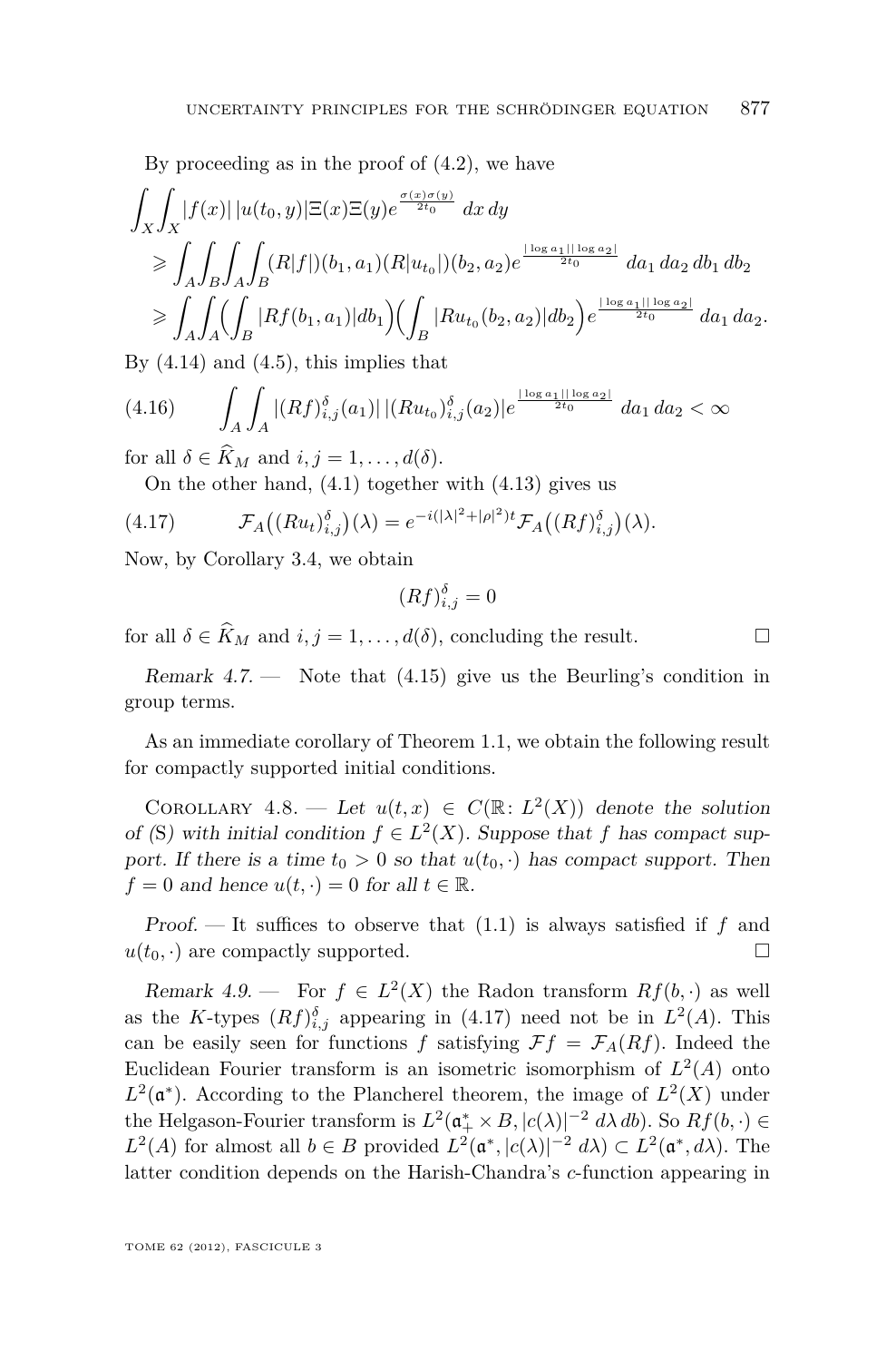By proceeding as in the proof of [\(4.2\)](#page-15-0), we have

$$
\int_{X} \int_{X} |f(x)| |u(t_{0}, y)| \Xi(x) \Xi(y) e^{\frac{\sigma(x)\sigma(y)}{2t_{0}}} dx dy
$$
\n
$$
\geq \int_{A} \int_{B} \int_{A} \int_{B} (R|f|)(b_{1}, a_{1})(R|u_{t_{0}}|)(b_{2}, a_{2}) e^{\frac{|\log a_{1}| |\log a_{2}|}{2t_{0}}} da_{1} da_{2} db_{1} db_{2}
$$
\n
$$
\geq \int_{A} \int_{A} (\int_{B} |Rf(b_{1}, a_{1})| db_{1}) (\int_{B} |Ru_{t_{0}}(b_{2}, a_{2})| db_{2}) e^{\frac{|\log a_{1}| |\log a_{2}|}{2t_{0}}} da_{1} da_{2}.
$$

By  $(4.14)$  and  $(4.5)$ , this implies that

$$
(4.16)\qquad \int_{A} \int_{A} |(Rf)_{i,j}^{\delta}(a_1)| \, |(Ru_{t_0})_{i,j}^{\delta}(a_2)| e^{\frac{|\log a_1||\log a_2|}{2t_0}} \, da_1 \, da_2 < \infty
$$

for all  $\delta \in \widehat{K}_M$  and  $i, j = 1, \ldots, d(\delta)$ .

On the other hand, [\(4.1\)](#page-14-0) together with [\(4.13\)](#page-17-0) gives us

$$
(4.17) \t\t \mathcal{F}_A\big((Ru_t)_{i,j}^{\delta}\big)(\lambda) = e^{-i(|\lambda|^2 + |\rho|^2)t} \mathcal{F}_A\big((Rf)_{i,j}^{\delta}\big)(\lambda).
$$

Now, by Corollary [3.4,](#page-12-0) we obtain

$$
(Rf)_{i,j}^{\delta} = 0
$$

for all  $\delta \in \widehat{K}_M$  and  $i, j = 1, ..., d(\delta)$ , concluding the result.

Remark  $4.7.$  — Note that  $(4.15)$  give us the Beurling's condition in group terms.

As an immediate corollary of Theorem [1.1,](#page-2-0) we obtain the following result for compactly supported initial conditions.

COROLLARY 4.8. — Let  $u(t, x) \in C(\mathbb{R}: L^2(X))$  denote the solution of ([S](#page-1-0)) with initial condition  $f \in L^2(X)$ . Suppose that *f* has compact support. If there is a time  $t_0 > 0$  so that  $u(t_0, \cdot)$  has compact support. Then  $f = 0$  and hence  $u(t, \cdot) = 0$  for all  $t \in \mathbb{R}$ .

Proof. — It suffices to observe that [\(1.1\)](#page-2-0) is always satisfied if *f* and  $u(t_0, \cdot)$  are compactly supported.

Remark 4.9. — For  $f \in L^2(X)$  the Radon transform  $Rf(b, \cdot)$  as well as the *K*-types  $(Rf)_{i,j}^{\delta}$  appearing in (4.17) need not be in  $L^2(A)$ . This can be easily seen for functions *f* satisfying  $\mathcal{F}f = \mathcal{F}_A(Rf)$ . Indeed the Euclidean Fourier transform is an isometric isomorphism of  $L^2(A)$  onto  $L^2(\mathfrak{a}^*)$ . According to the Plancherel theorem, the image of  $L^2(X)$  under the Helgason-Fourier transform is  $L^2(\mathfrak{a}_+^* \times B, |c(\lambda)|^{-2} d\lambda db)$ . So  $Rf(b, \cdot) \in$  $L^2(A)$  for almost all  $b \in B$  provided  $L^2(\mathfrak{a}^*, |c(\lambda)|^{-2} d\lambda) \subset L^2(\mathfrak{a}^*, d\lambda)$ . The latter condition depends on the Harish-Chandra's *c*-function appearing in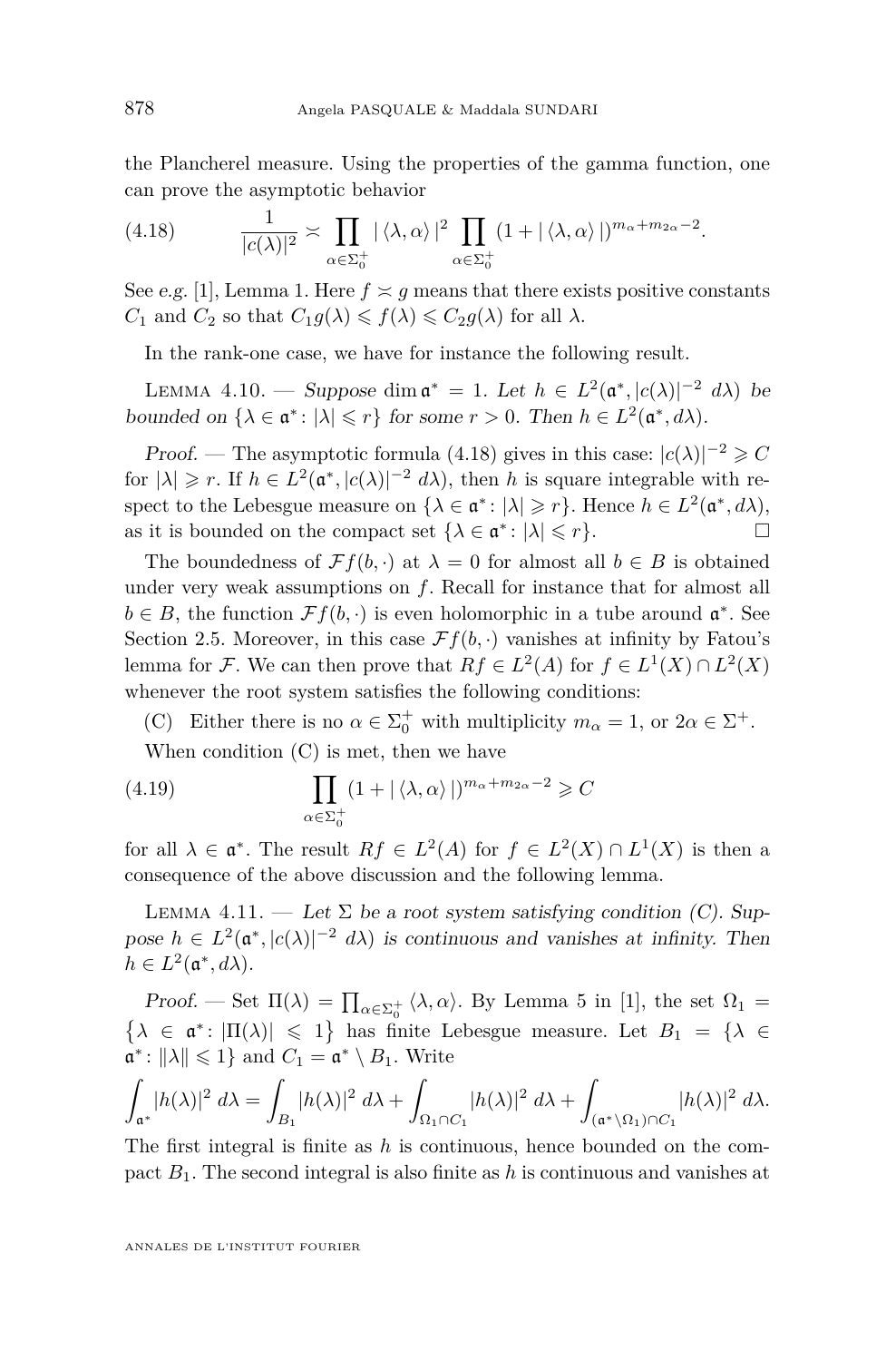<span id="page-20-0"></span>the Plancherel measure. Using the properties of the gamma function, one can prove the asymptotic behavior

(4.18) 
$$
\frac{1}{|c(\lambda)|^2} \asymp \prod_{\alpha \in \Sigma_0^+} |\langle \lambda, \alpha \rangle|^2 \prod_{\alpha \in \Sigma_0^+} (1 + |\langle \lambda, \alpha \rangle|)^{m_{\alpha} + m_{2\alpha} - 2}.
$$

See e.g. [\[1\]](#page-27-0), Lemma 1. Here  $f \simeq g$  means that there exists positive constants  $C_1$  and  $C_2$  so that  $C_1q(\lambda) \leq f(\lambda) \leq C_2q(\lambda)$  for all  $\lambda$ .

In the rank-one case, we have for instance the following result.

LEMMA 4.10. — Suppose dim  $\mathfrak{a}^* = 1$ . Let  $h \in L^2(\mathfrak{a}^*, |c(\lambda)|^{-2} d\lambda)$  be bounded on  $\{\lambda \in \mathfrak{a}^* : |\lambda| \leq r\}$  for some  $r > 0$ . Then  $h \in L^2(\mathfrak{a}^*, d\lambda)$ .

Proof. — The asymptotic formula (4.18) gives in this case:  $|c(\lambda)|^{-2} \geq C$ for  $|\lambda| \geq r$ . If  $h \in L^2(\mathfrak{a}^*, |c(\lambda)|^{-2} d\lambda)$ , then *h* is square integrable with respect to the Lebesgue measure on  $\{\lambda \in \mathfrak{a}^* : |\lambda| \geq r\}$ . Hence  $h \in L^2(\mathfrak{a}^*, d\lambda)$ , as it is bounded on the compact set  $\{\lambda \in \mathfrak{a}^* : |\lambda| \leq r\}$ .

The boundedness of  $\mathcal{F}f(b,\cdot)$  at  $\lambda = 0$  for almost all  $b \in B$  is obtained under very weak assumptions on *f*. Recall for instance that for almost all  $b \in B$ , the function  $\mathcal{F}f(b, \cdot)$  is even holomorphic in a tube around  $\mathfrak{a}^*$ . See Section [2.5.](#page-8-0) Moreover, in this case  $\mathcal{F}f(b, \cdot)$  vanishes at infinity by Fatou's lemma for *F*. We can then prove that  $Rf \in L^2(A)$  for  $f \in L^1(X) \cap L^2(X)$ whenever the root system satisfies the following conditions:

(C) Either there is no  $\alpha \in \Sigma_0^+$  with multiplicity  $m_\alpha = 1$ , or  $2\alpha \in \Sigma^+$ . When condition (C) is met, then we have

(4.19) 
$$
\prod_{\alpha \in \Sigma_{0}^{+}} (1 + |\langle \lambda, \alpha \rangle|)^{m_{\alpha} + m_{2\alpha} - 2} \geq C
$$

for all  $\lambda \in \mathfrak{a}^*$ . The result  $Rf \in L^2(A)$  for  $f \in L^2(X) \cap L^1(X)$  is then a consequence of the above discussion and the following lemma.

LEMMA 4.11. — Let  $\Sigma$  be a root system satisfying condition (C). Suppose  $h \in L^2(\mathfrak{a}^*, |c(\lambda)|^{-2} d\lambda)$  is continuous and vanishes at infinity. Then  $h \in L^2(\mathfrak{a}^*, d\lambda).$ 

Proof. — Set  $\Pi(\lambda) = \prod_{\alpha \in \Sigma_0^+} \langle \lambda, \alpha \rangle$ . By Lemma 5 in [\[1\]](#page-27-0), the set  $\Omega_1 =$  $\{\lambda \in \mathfrak{a}^* : |\Pi(\lambda)| \leq 1\}$  has finite Lebesgue measure. Let  $B_1 = \{\lambda \in \mathfrak{a}^* : |\lambda| \leq 1\}$  $\mathfrak{a}^*$ :  $\|\lambda\| \leq 1$  and  $C_1 = \mathfrak{a}^* \setminus B_1$ . Write

$$
\int_{\mathfrak{a}^*} |h(\lambda)|^2 \, d\lambda = \int_{B_1} |h(\lambda)|^2 \, d\lambda + \int_{\Omega_1 \cap C_1} |h(\lambda)|^2 \, d\lambda + \int_{(\mathfrak{a}^* \setminus \Omega_1) \cap C_1} |h(\lambda)|^2 \, d\lambda.
$$

The first integral is finite as *h* is continuous, hence bounded on the compact *B*1. The second integral is also finite as *h* is continuous and vanishes at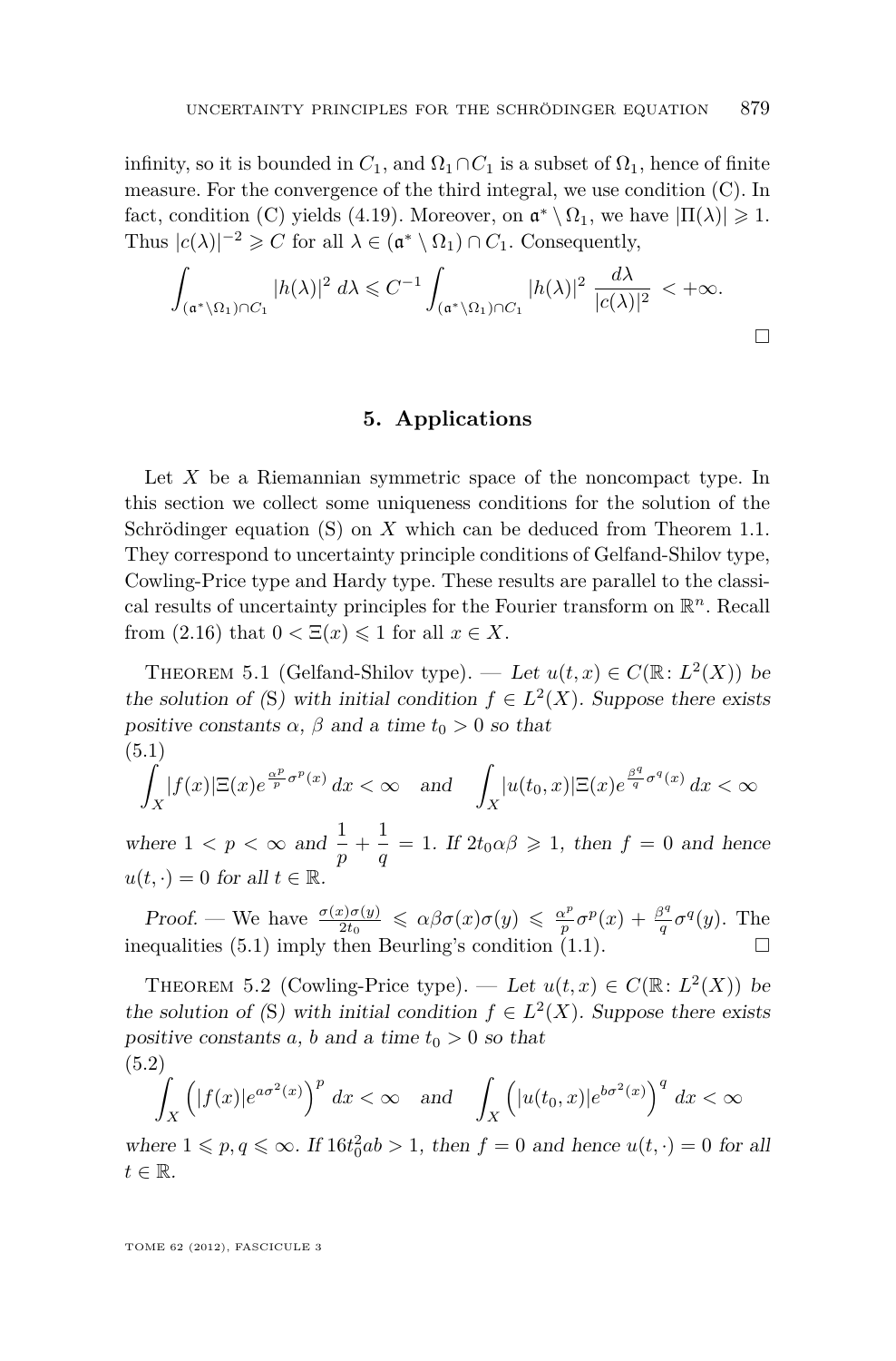<span id="page-21-0"></span>infinity, so it is bounded in  $C_1$ , and  $\Omega_1 \cap C_1$  is a subset of  $\Omega_1$ , hence of finite measure. For the convergence of the third integral, we use condition (C). In fact, condition (C) yields [\(4.19\)](#page-20-0). Moreover, on  $\mathfrak{a}^* \setminus \Omega_1$ , we have  $|\Pi(\lambda)| \geq 1$ . Thus  $|c(\lambda)|^{-2} \geqslant C$  for all  $\lambda \in (\mathfrak{a}^* \setminus \Omega_1) \cap C_1$ . Consequently,

$$
\int_{(\mathfrak{a}^*\backslash\Omega_1)\cap C_1} |h(\lambda)|^2 d\lambda \leq C^{-1} \int_{(\mathfrak{a}^*\backslash\Omega_1)\cap C_1} |h(\lambda)|^2 \frac{d\lambda}{|c(\lambda)|^2} < +\infty.
$$

### **5. Applications**

Let X be a Riemannian symmetric space of the noncompact type. In this section we collect some uniqueness conditions for the solution of the Schrödinger equation [\(S\)](#page-1-0) on *X* which can be deduced from Theorem [1.1.](#page-2-0) They correspond to uncertainty principle conditions of Gelfand-Shilov type, Cowling-Price type and Hardy type. These results are parallel to the classical results of uncertainty principles for the Fourier transform on R *<sup>n</sup>*. Recall from  $(2.16)$  that  $0 < \Xi(x) \leq 1$  for all  $x \in X$ .

THEOREM 5.1 (Gelfand-Shilov type). — Let  $u(t, x) \in C(\mathbb{R}: L^2(X))$  be the solution of ([S](#page-1-0)) with initial condition  $f \in L^2(X)$ . Suppose there exists positive constants  $\alpha$ ,  $\beta$  and a time  $t_0 > 0$  so that (5.1)

$$
\int_X |f(x)| \Xi(x) e^{\frac{\alpha^p}{p}\sigma^p(x)} dx < \infty \quad \text{and} \quad \int_X |u(t_0, x)| \Xi(x) e^{\frac{\beta^q}{q}\sigma^q(x)} dx < \infty
$$

where  $1 < p < \infty$  and  $\frac{1}{p} + \frac{1}{q}$  $\frac{1}{q} = 1$ . If  $2t_0 \alpha \beta \geq 1$ , then  $f = 0$  and hence  $u(t, \cdot) = 0$  for all  $t \in \mathbb{R}$ .

*Proof.* — We have  $\frac{\sigma(x)\sigma(y)}{2t_0} \leq \alpha\beta\sigma(x)\sigma(y) \leq \frac{\alpha^p}{p}$  $\frac{\alpha^p}{p} \sigma^p(x) + \frac{\beta^q}{q}$  $\frac{g^q}{q} \sigma^q(y)$ . The inequalities (5.1) imply then Beurling's condition [\(1.1\)](#page-2-0).  $\Box$ 

THEOREM 5.2 (Cowling-Price type). — Let  $u(t, x) \in C(\mathbb{R}: L^2(X))$  be the solution of ([S](#page-1-0)) with initial condition  $f \in L^2(X)$ . Suppose there exists positive constants  $a, b$  and  $a$  time  $t_0 > 0$  so that (5.2)

$$
\int_X \left( |f(x)|e^{a\sigma^2(x)} \right)^p dx < \infty \quad \text{and} \quad \int_X \left( |u(t_0, x)|e^{b\sigma^2(x)} \right)^q dx < \infty
$$

where  $1 \leqslant p, q \leqslant \infty$ . If  $16t_0^2ab > 1$ , then  $f = 0$  and hence  $u(t, \cdot) = 0$  for all  $t \in \mathbb{R}$ .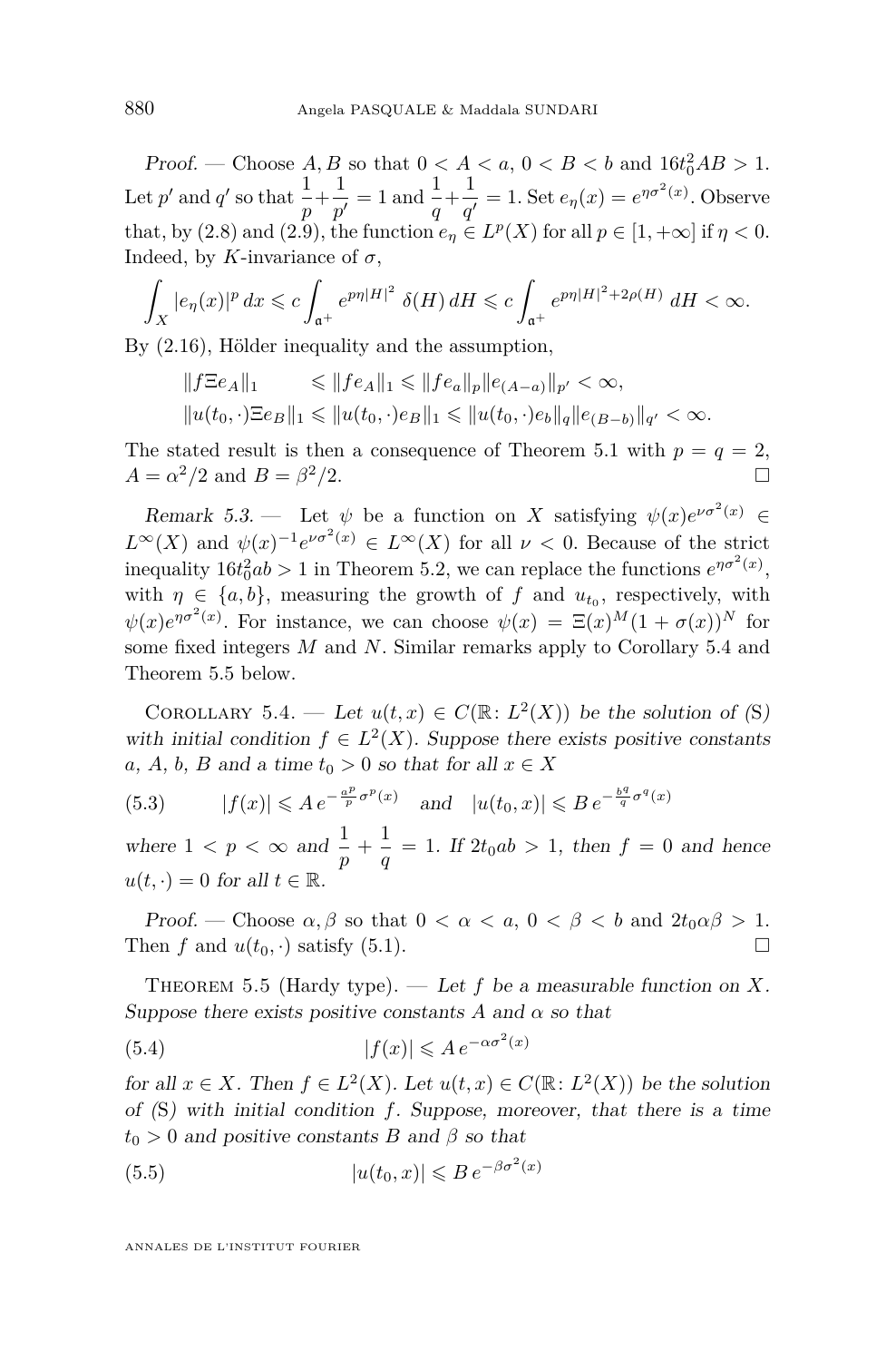<span id="page-22-0"></span>*Proof.* — Choose  $A, B$  so that  $0 < A < a, 0 < B < b$  and  $16t_0^2AB > 1$ . Let  $p'$  and  $q'$  so that  $\frac{1}{p} + \frac{1}{p'}$  $\frac{1}{p'} = 1$  and  $\frac{1}{q} + \frac{1}{q'}$  $\frac{1}{q'} = 1$ . Set  $e_\eta(x) = e^{\eta \sigma^2(x)}$ . Observe that, by [\(2.8\)](#page-6-0) and [\(2.9\)](#page-6-0), the function  $e_{\eta} \in L^p(X)$  for all  $p \in [1, +\infty]$  if  $\eta < 0$ . Indeed, by *K*-invariance of  $\sigma$ ,

$$
\int_X |e_\eta(x)|^p dx \leqslant c \int_{\mathfrak{a}^+} e^{p\eta |H|^2} \delta(H) dH \leqslant c \int_{\mathfrak{a}^+} e^{p\eta |H|^2 + 2\rho(H)} dH < \infty.
$$

By [\(2.16\)](#page-8-0), Hölder inequality and the assumption,

$$
\begin{aligned} ||f\Xi e_A||_1 &\leq ||fe_A||_1 \leq ||fe_a||_p ||e_{(A-a)}||_{p'} < \infty, \\ ||u(t_0,\cdot)\Xi e_B||_1 &\leq ||u(t_0,\cdot)e_B||_1 \leq ||u(t_0,\cdot)e_b||_q ||e_{(B-b)}||_{q'} < \infty. \end{aligned}
$$

The stated result is then a consequence of Theorem [5.1](#page-21-0) with  $p = q = 2$ ,  $A = \alpha^2/2$  and  $B = \beta$  $^{2}/2.$ 

Remark 5.3. — Let  $\psi$  be a function on *X* satisfying  $\psi(x)e^{\nu \sigma^2(x)} \in$  $L^{\infty}(X)$  and  $\psi(x)^{-1}e^{\nu \sigma^2(x)} \in L^{\infty}(X)$  for all  $\nu < 0$ . Because of the strict inequality  $16t_0^2ab > 1$  in Theorem [5.2,](#page-21-0) we can replace the functions  $e^{\eta \sigma^2(x)}$ , with  $\eta \in \{a, b\}$ , measuring the growth of f and  $u_{t_0}$ , respectively, with  $\psi(x)e^{\eta \sigma^2(x)}$ . For instance, we can choose  $\psi(x) = \Xi(x)^M(1 + \sigma(x))^N$  for some fixed integers *M* and *N*. Similar remarks apply to Corollary 5.4 and Theorem 5.5 below.

COROLLARY 5.4. — Let  $u(t,x) \in C(\mathbb{R}: L^2(X))$  be the solution of ([S](#page-1-0)) with initial condition  $f \in L^2(X)$ . Suppose there exists positive constants *a*, *A*, *b*, *B* and a time  $t_0 > 0$  so that for all  $x \in X$ 

(5.3) 
$$
|f(x)| \leqslant A e^{-\frac{a^p}{p}\sigma^p(x)} \quad \text{and} \quad |u(t_0, x)| \leqslant B e^{-\frac{b^q}{q}\sigma^q(x)}
$$

where  $1 < p < \infty$  and  $\frac{1}{p} + \frac{1}{q}$  $\frac{1}{q} = 1$ . If  $2t_0ab > 1$ , then  $f = 0$  and hence  $u(t, \cdot) = 0$  for all  $t \in \mathbb{R}$ .

Proof. — Choose  $\alpha, \beta$  so that  $0 < \alpha < a, 0 < \beta < b$  and  $2t_0 \alpha \beta > 1$ . Then *f* and  $u(t_0, \cdot)$  satisfy [\(5.1\)](#page-21-0).

THEOREM 5.5 (Hardy type). — Let  $f$  be a measurable function on  $X$ . Suppose there exists positive constants  $A$  and  $\alpha$  so that

(5.4) 
$$
|f(x)| \leqslant A e^{-\alpha \sigma^2(x)}
$$

for all  $x \in X$ . Then  $f \in L^2(X)$ . Let  $u(t, x) \in C(\mathbb{R} : L^2(X))$  be the solution of ([S](#page-1-0)) with initial condition *f*. Suppose, moreover, that there is a time  $t_0 > 0$  and positive constants *B* and  $\beta$  so that

(5.5) 
$$
|u(t_0, x)| \leqslant B e^{-\beta \sigma^2(x)}
$$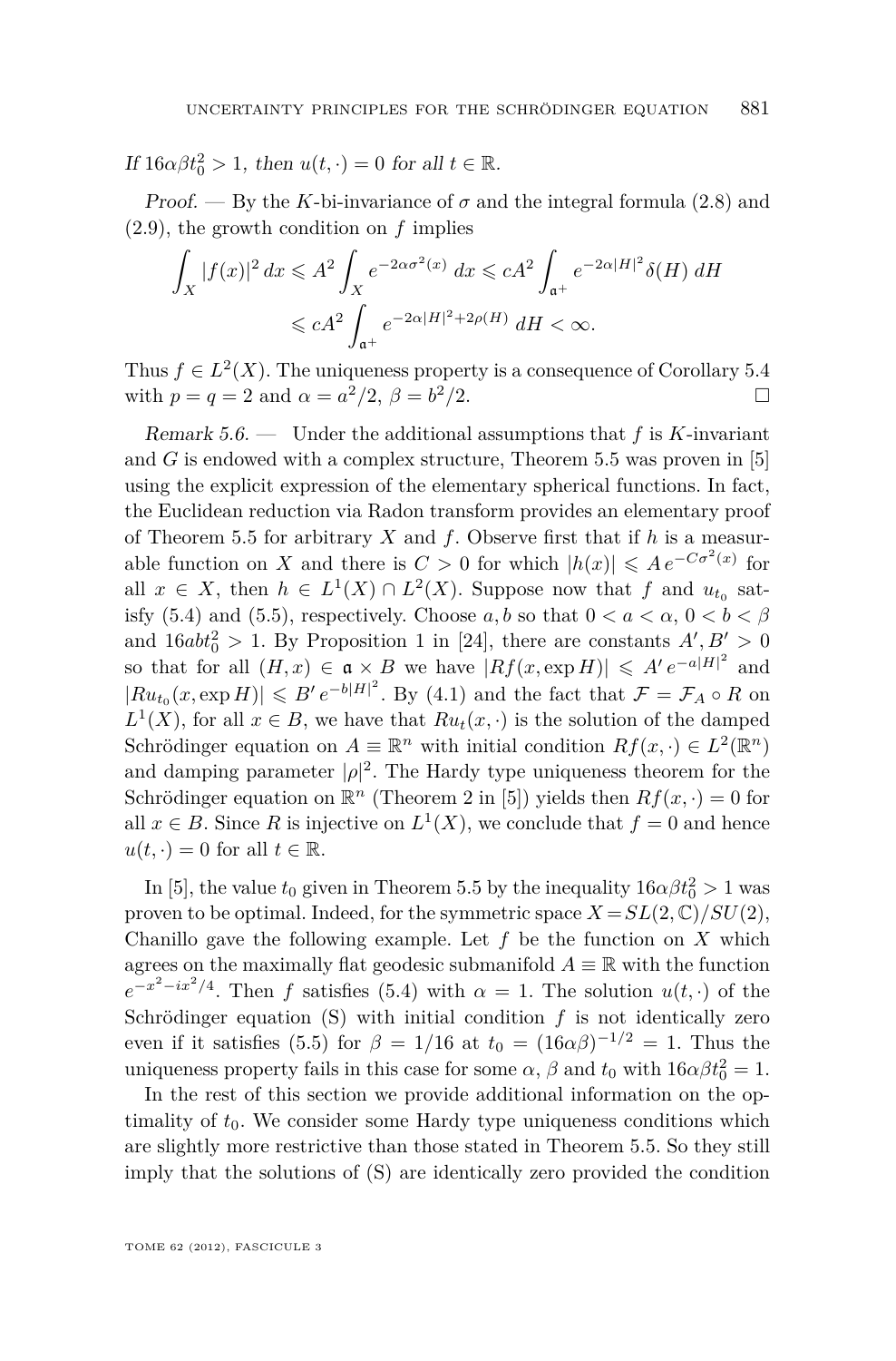If  $16\alpha\beta t_0^2 > 1$ , then  $u(t, \cdot) = 0$  for all  $t \in \mathbb{R}$ .

Proof. — By the *K*-bi-invariance of  $\sigma$  and the integral formula [\(2.8\)](#page-6-0) and [\(2.9\)](#page-6-0), the growth condition on *f* implies

$$
\int_X |f(x)|^2 dx \leqslant A^2 \int_X e^{-2\alpha \sigma^2(x)} dx \leqslant cA^2 \int_{\mathfrak{a}^+} e^{-2\alpha |H|^2} \delta(H) dH
$$
  

$$
\leqslant cA^2 \int_{\mathfrak{a}^+} e^{-2\alpha |H|^2 + 2\rho(H)} dH < \infty.
$$

Thus  $f \in L^2(X)$ . The uniqueness property is a consequence of Corollary [5.4](#page-22-0) with  $p = q = 2$  and  $\alpha = a^2/2$ ,  $\beta = b$  $\sqrt{2}/2.$ 

Remark 5.6. — Under the additional assumptions that *f* is *K*-invariant and  $G$  is endowed with a complex structure, Theorem [5.5](#page-22-0) was proven in  $[5]$ using the explicit expression of the elementary spherical functions. In fact, the Euclidean reduction via Radon transform provides an elementary proof of Theorem [5.5](#page-22-0) for arbitrary *X* and *f*. Observe first that if *h* is a measurable function on *X* and there is  $C > 0$  for which  $|h(x)| \leq A e^{-C\sigma^2(x)}$  for all  $x \in X$ , then  $h \in L^1(X) \cap L^2(X)$ . Suppose now that  $f$  and  $u_{t_0}$  sat-isfy [\(5.4\)](#page-22-0) and [\(5.5\)](#page-22-0), respectively. Choose  $a, b$  so that  $0 < a < \alpha, 0 < b < \beta$ and  $16ab_0^2 > 1$ . By Proposition 1 in [\[24\]](#page-28-0), there are constants  $A', B' > 0$ so that for all  $(H, x) \in \mathfrak{a} \times B$  we have  $|Rf(x, \exp H)| \leq A' e^{-a|H|^2}$  and  $|Ru_{t_0}(x, \exp H)| \leqslant B' e^{-b|H|^2}$ . By [\(4.1\)](#page-14-0) and the fact that  $\mathcal{F} = \mathcal{F}_A \circ R$  on  $L^1(X)$ , for all  $x \in B$ , we have that  $Ru_t(x, \cdot)$  is the solution of the damped Schrödinger equation on  $A \equiv \mathbb{R}^n$  with initial condition  $Rf(x, \cdot) \in L^2(\mathbb{R}^n)$ and damping parameter  $|\rho|^2$ . The Hardy type uniqueness theorem for the Schrödinger equation on  $\mathbb{R}^n$  (Theorem 2 in [\[5\]](#page-27-0)) yields then  $Rf(x, \cdot) = 0$  for all  $x \in B$ . Since R is injective on  $L^1(X)$ , we conclude that  $f = 0$  and hence  $u(t, \cdot) = 0$  for all  $t \in \mathbb{R}$ .

In [\[5\]](#page-27-0), the value  $t_0$  given in Theorem [5.5](#page-22-0) by the inequality  $16\alpha\beta t_0^2 > 1$  was proven to be optimal. Indeed, for the symmetric space  $X = SL(2, \mathbb{C})/SU(2)$ , Chanillo gave the following example. Let *f* be the function on *X* which agrees on the maximally flat geodesic submanifold  $A \equiv \mathbb{R}$  with the function  $e^{-x^2 - ix^2/4}$ . Then *f* satisfies [\(5.4\)](#page-22-0) with  $\alpha = 1$ . The solution  $u(t, \cdot)$  of the Schrödinger equation [\(S\)](#page-1-0) with initial condition *f* is not identically zero even if it satisfies [\(5.5\)](#page-22-0) for  $\beta = 1/16$  at  $t_0 = (16\alpha\beta)^{-1/2} = 1$ . Thus the uniqueness property fails in this case for some  $\alpha$ ,  $\beta$  and  $t_0$  with  $16\alpha\beta t_0^2 = 1$ .

In the rest of this section we provide additional information on the optimality of  $t_0$ . We consider some Hardy type uniqueness conditions which are slightly more restrictive than those stated in Theorem [5.5.](#page-22-0) So they still imply that the solutions of [\(S\)](#page-1-0) are identically zero provided the condition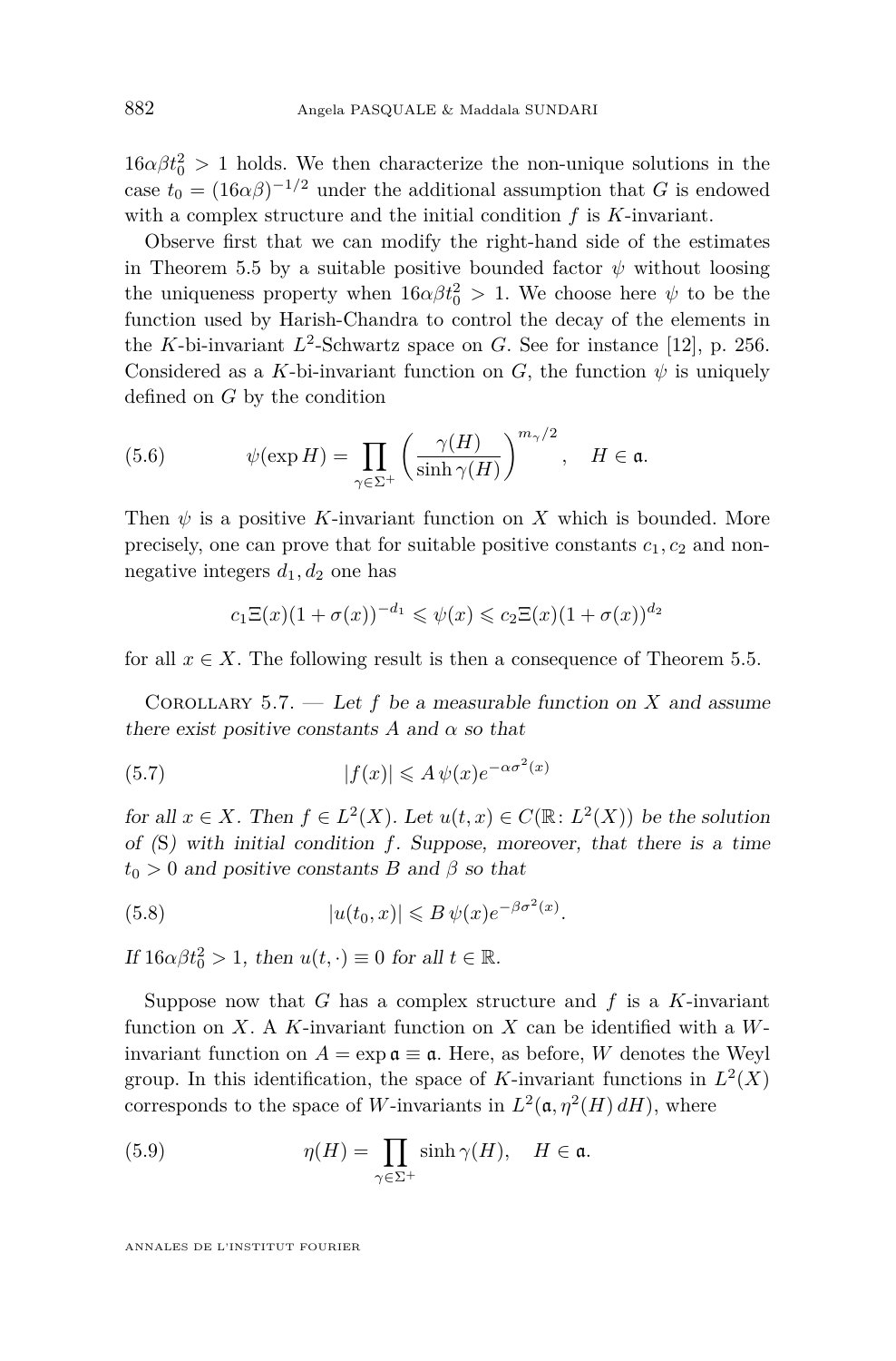<span id="page-24-0"></span> $16\alpha\beta t_0^2 > 1$  holds. We then characterize the non-unique solutions in the case  $t_0 = (16\alpha\beta)^{-1/2}$  under the additional assumption that *G* is endowed with a complex structure and the initial condition *f* is *K*-invariant.

Observe first that we can modify the right-hand side of the estimates in Theorem [5.5](#page-22-0) by a suitable positive bounded factor  $\psi$  without loosing the uniqueness property when  $16\alpha\beta t_0^2 > 1$ . We choose here  $\psi$  to be the function used by Harish-Chandra to control the decay of the elements in the *K*-bi-invariant  $L^2$ -Schwartz space on *G*. See for instance [\[12\]](#page-28-0), p. 256. Considered as a *K*-bi-invariant function on *G*, the function  $\psi$  is uniquely defined on *G* by the condition

(5.6) 
$$
\psi(\exp H) = \prod_{\gamma \in \Sigma^+} \left( \frac{\gamma(H)}{\sinh \gamma(H)} \right)^{m_{\gamma}/2}, \quad H \in \mathfrak{a}.
$$

Then  $\psi$  is a positive *K*-invariant function on *X* which is bounded. More precisely, one can prove that for suitable positive constants  $c_1, c_2$  and nonnegative integers  $d_1, d_2$  one has

$$
c_1\Xi(x)(1+\sigma(x))^{-d_1} \leqslant \psi(x) \leqslant c_2\Xi(x)(1+\sigma(x))^{d_2}
$$

for all  $x \in X$ . The following result is then a consequence of Theorem [5.5.](#page-22-0)

COROLLARY 5.7. — Let  $f$  be a measurable function on  $X$  and assume there exist positive constants A and  $\alpha$  so that

(5.7) 
$$
|f(x)| \le A \psi(x) e^{-\alpha \sigma^2(x)}
$$

for all  $x \in X$ . Then  $f \in L^2(X)$ . Let  $u(t, x) \in C(\mathbb{R} : L^2(X))$  be the solution of ([S](#page-1-0)) with initial condition *f*. Suppose, moreover, that there is a time  $t_0 > 0$  and positive constants *B* and  $\beta$  so that

(5.8) 
$$
|u(t_0, x)| \leq B \psi(x) e^{-\beta \sigma^2(x)}.
$$

If  $16\alpha\beta t_0^2 > 1$ , then  $u(t, \cdot) \equiv 0$  for all  $t \in \mathbb{R}$ .

Suppose now that *G* has a complex structure and *f* is a *K*-invariant function on *X*. A *K*-invariant function on *X* can be identified with a *W*invariant function on  $A = \exp \mathfrak{a} \equiv \mathfrak{a}$ . Here, as before, *W* denotes the Weyl group. In this identification, the space of *K*-invariant functions in  $L^2(X)$ corresponds to the space of *W*-invariants in  $L^2(\mathfrak{a}, \eta^2(H) dH)$ , where

(5.9) 
$$
\eta(H) = \prod_{\gamma \in \Sigma^+} \sinh \gamma(H), \quad H \in \mathfrak{a}.
$$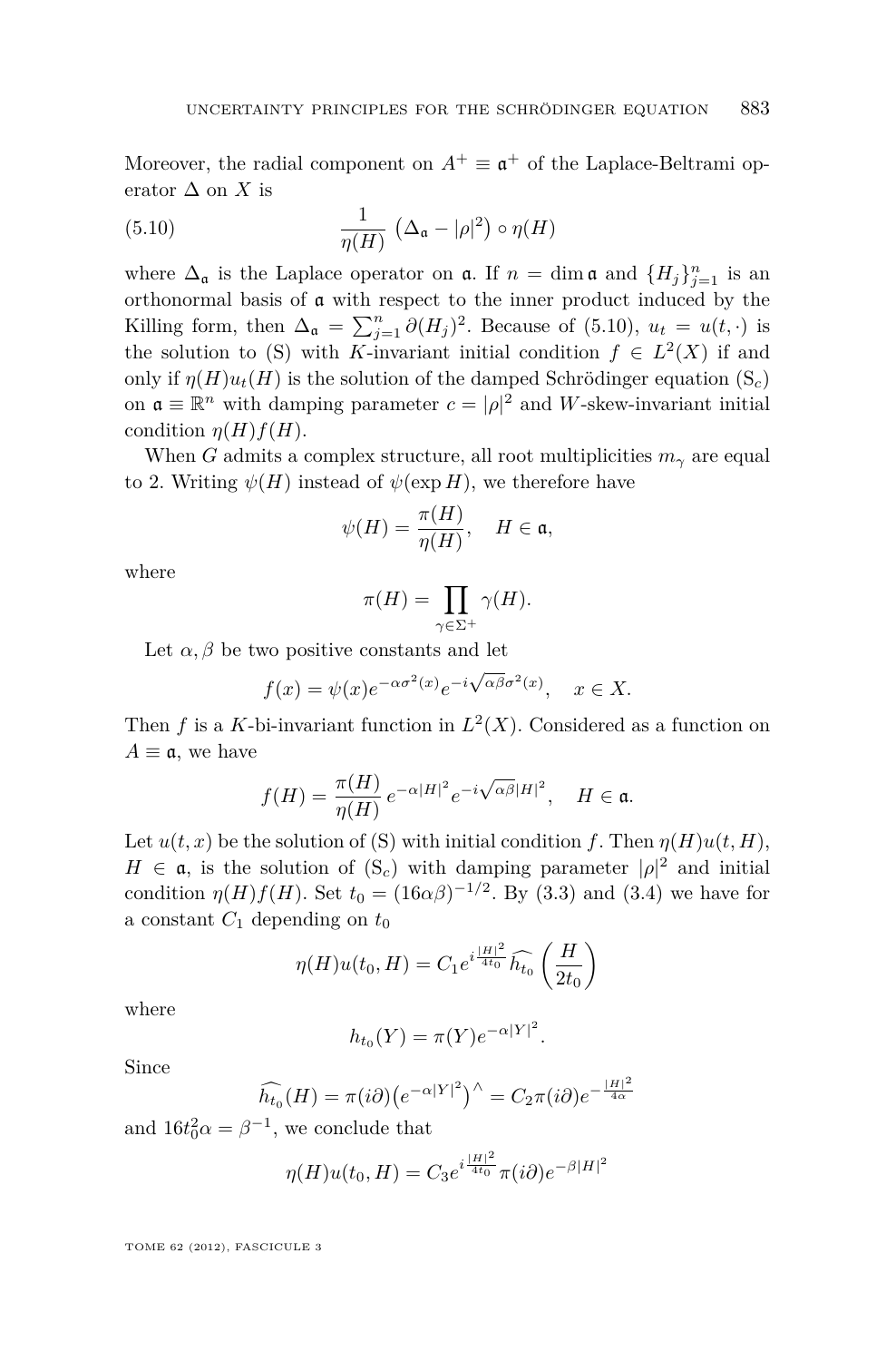Moreover, the radial component on  $A^+ \equiv \mathfrak{a}^+$  of the Laplace-Beltrami operator  $\Delta$  on *X* is

(5.10) 
$$
\frac{1}{\eta(H)} \left( \Delta_{\mathfrak{a}} - |\rho|^2 \right) \circ \eta(H)
$$

where  $\Delta_{\mathfrak{a}}$  is the Laplace operator on  $\mathfrak{a}$ . If  $n = \dim \mathfrak{a}$  and  $\{H_j\}_{j=1}^n$  is an orthonormal basis of a with respect to the inner product induced by the Killing form, then  $\Delta_{\mathfrak{a}} = \sum_{j=1}^{n} \partial(H_j)^2$ . Because of (5.10),  $u_t = u(t, \cdot)$  is the solution to [\(S\)](#page-1-0) with *K*-invariant initial condition  $f \in L^2(X)$  if and only if  $\eta(H)u_t(H)$  is the solution of the damped Schrödinger equation  $(S_c)$  $(S_c)$ on  $\mathfrak{a} \equiv \mathbb{R}^n$  with damping parameter  $c = |\rho|^2$  and *W*-skew-invariant initial condition  $\eta(H) f(H)$ .

When *G* admits a complex structure, all root multiplicities  $m_\gamma$  are equal to 2. Writing  $\psi(H)$  instead of  $\psi(\exp H)$ , we therefore have

$$
\psi(H) = \frac{\pi(H)}{\eta(H)}, \quad H \in \mathfrak{a},
$$

where

$$
\pi(H) = \prod_{\gamma \in \Sigma^+} \gamma(H).
$$

Let  $\alpha, \beta$  be two positive constants and let

$$
f(x) = \psi(x)e^{-\alpha \sigma^2(x)}e^{-i\sqrt{\alpha \beta}\sigma^2(x)}, \quad x \in X.
$$

Then *f* is a *K*-bi-invariant function in  $L^2(X)$ . Considered as a function on  $A \equiv \mathfrak{a}$ , we have

$$
f(H) = \frac{\pi(H)}{\eta(H)} e^{-\alpha |H|^2} e^{-i\sqrt{\alpha \beta}|H|^2}, \quad H \in \mathfrak{a}.
$$

Let  $u(t, x)$  be the solution of [\(S\)](#page-1-0) with initial condition *f*. Then  $\eta(H)u(t, H)$ ,  $H \in \mathfrak{a}$ , is the solution of  $(S_c)$  $(S_c)$  with damping parameter  $|\rho|^2$  and initial condition  $\eta(H)f(H)$ . Set  $t_0 = (16\alpha\beta)^{-1/2}$ . By [\(3.3\)](#page-12-0) and [\(3.4\)](#page-12-0) we have for a constant  $C_1$  depending on  $t_0$ 

$$
\eta(H)u(t_0, H) = C_1 e^{i\frac{|H|^2}{4t_0}} \widehat{h_{t_0}}\left(\frac{H}{2t_0}\right)
$$

where

$$
h_{t_0}(Y) = \pi(Y)e^{-\alpha|Y|^2}.
$$

Since

$$
\widehat{h_{t_0}}(H) = \pi(i\partial) \big(e^{-\alpha|Y|^2}\big)^\wedge = C_2 \pi(i\partial) e^{-\frac{|H|^2}{4\alpha}}
$$

and  $16t_0^2 \alpha = \beta^{-1}$ , we conclude that

$$
\eta(H)u(t_0, H) = C_3 e^{i\frac{|H|^2}{4t_0}} \pi(i\partial) e^{-\beta|H|^2}
$$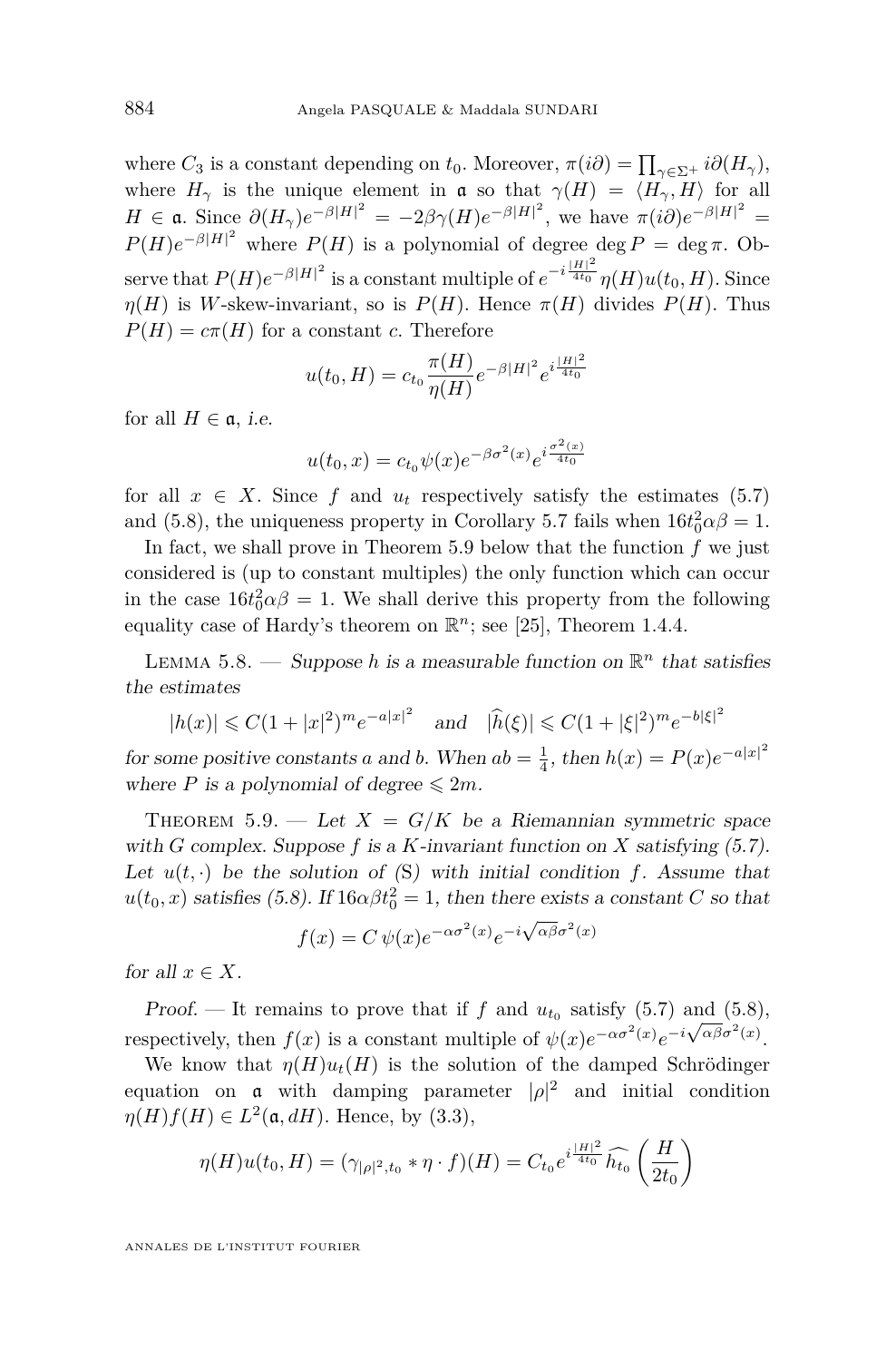<span id="page-26-0"></span>where  $C_3$  is a constant depending on  $t_0$ . Moreover,  $\pi(i\partial) = \prod_{\gamma \in \Sigma^+} i\partial(H_\gamma)$ , where  $H_{\gamma}$  is the unique element in  $\mathfrak{a}$  so that  $\gamma(H) = \langle H_{\gamma}, H \rangle$  for all  $H \in \mathfrak{a}$ . Since  $\partial(H_{\gamma})e^{-\beta|H|^2} = -2\beta\gamma(H)e^{-\beta|H|^2}$ , we have  $\pi(i\partial)e^{-\beta|H|^2} =$  $P(H)e^{-\beta|H|^2}$  where  $P(H)$  is a polynomial of degree deg  $P = \text{deg }\pi$ . Observe that  $P(H)e^{-\beta|H|^2}$  is a constant multiple of  $e^{-i\frac{|H|^2}{4t_0}}\eta(H)u(t_0,H)$ . Since *η*(*H*) is *W*-skew-invariant, so is  $P(H)$ . Hence  $\pi(H)$  divides  $P(H)$ . Thus  $P(H) = c\pi(H)$  for a constant *c*. Therefore

$$
u(t_0, H) = c_{t_0} \frac{\pi(H)}{\eta(H)} e^{-\beta |H|^2} e^{i \frac{|H|^2}{4t_0}}
$$

for all  $H \in \mathfrak{a}$ , *i.e.* 

$$
u(t_0, x) = c_{t_0} \psi(x) e^{-\beta \sigma^2(x)} e^{i \frac{\sigma^2(x)}{4t_0}}
$$

for all  $x \in X$ . Since f and  $u_t$  respectively satisfy the estimates [\(5.7\)](#page-24-0) and [\(5.8\)](#page-24-0), the uniqueness property in Corollary [5.7](#page-24-0) fails when  $16t_0^2 \alpha \beta = 1$ .

In fact, we shall prove in Theorem 5.9 below that the function *f* we just considered is (up to constant multiples) the only function which can occur in the case  $16t_0^2 \alpha \beta = 1$ . We shall derive this property from the following equality case of Hardy's theorem on  $\mathbb{R}^n$ ; see [\[25\]](#page-28-0), Theorem 1.4.4.

LEMMA 5.8. — Suppose *h* is a measurable function on  $\mathbb{R}^n$  that satisfies the estimates

$$
|h(x)| \leq C(1+|x|^2)^m e^{-a|x|^2}
$$
 and  $|\hat{h}(\xi)| \leq C(1+|\xi|^2)^m e^{-b|\xi|^2}$ 

for some positive constants *a* and *b*. When  $ab = \frac{1}{4}$ , then  $h(x) = P(x)e^{-a|x|^2}$ where *P* is a polynomial of degree  $\leq 2m$ .

THEOREM 5.9. — Let  $X = G/K$  be a Riemannian symmetric space with *G* complex. Suppose  $f$  is a  $K$ -invariant function on  $X$  satisfying  $(5.7)$ . Let  $u(t, \cdot)$  be the solution of  $(S)$  $(S)$  $(S)$  with initial condition  $f$ . Assume that  $u(t_0, x)$  satisfies [\(5.8\)](#page-24-0). If  $16\alpha\beta t_0^2 = 1$ , then there exists a constant *C* so that

$$
f(x) = C \psi(x) e^{-\alpha \sigma^2(x)} e^{-i \sqrt{\alpha \beta} \sigma^2(x)}
$$

for all  $x \in X$ .

Proof. — It remains to prove that if *f* and  $u_{t_0}$  satisfy [\(5.7\)](#page-24-0) and [\(5.8\)](#page-24-0), respectively, then  $f(x)$  is a constant multiple of  $\psi(x)e^{-\alpha \sigma^2(x)}e^{-i\sqrt{\alpha \beta} \sigma^2(x)}$ .

We know that  $\eta(H)u_t(H)$  is the solution of the damped Schrödinger equation on **a** with damping parameter  $|\rho|^2$  and initial condition  $\eta(H)f(H) \in L^2(\mathfrak{a}, dH)$ . Hence, by [\(3.3\)](#page-12-0),

$$
\eta(H)u(t_0,H) = (\gamma_{|\rho|^2,t_0} * \eta \cdot f)(H) = C_{t_0} e^{i \frac{|H|^2}{4t_0}} \widehat{h_{t_0}} \left(\frac{H}{2t_0}\right)
$$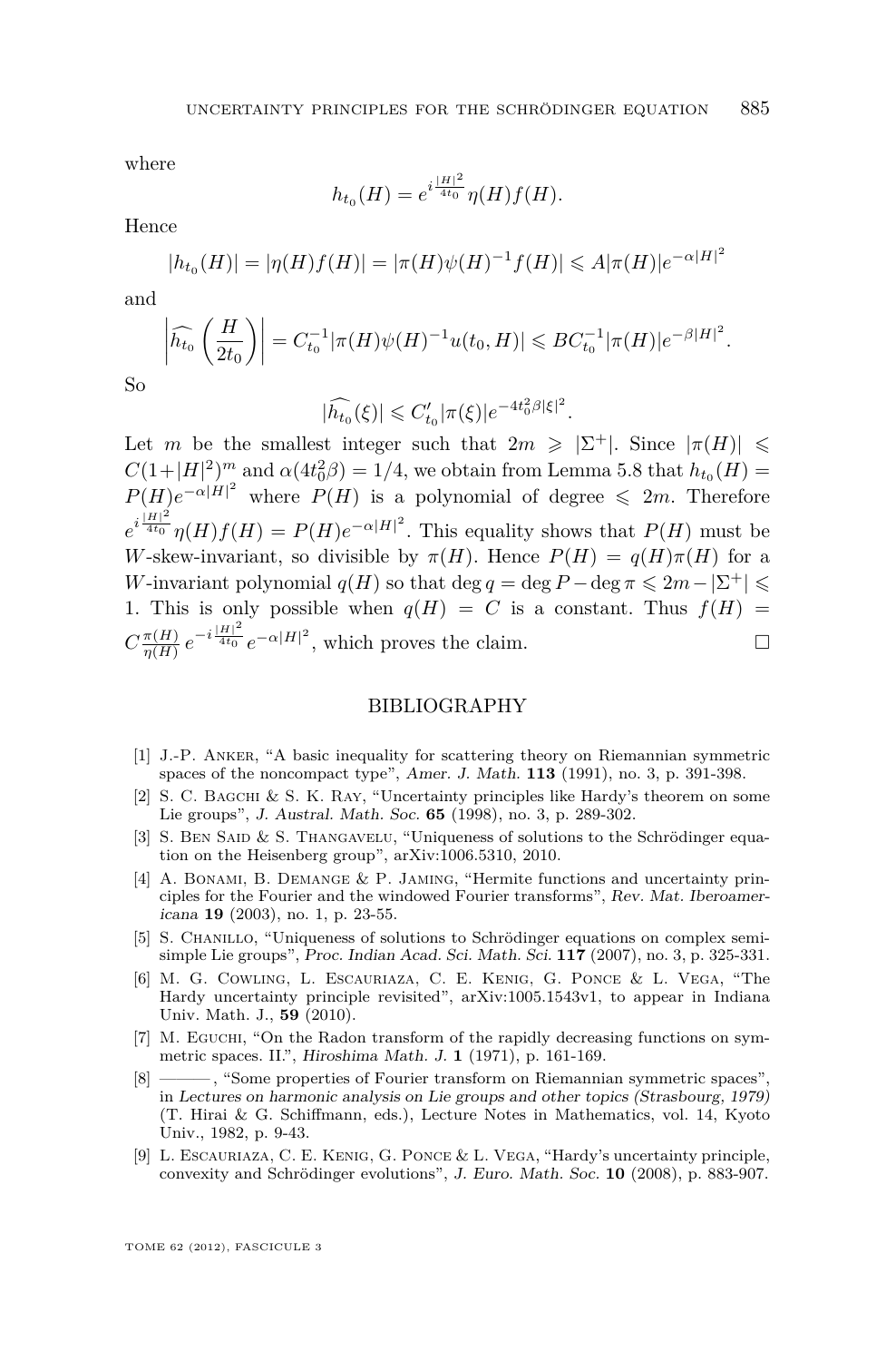<span id="page-27-0"></span>where

$$
h_{t_0}(H) = e^{i\frac{|H|^2}{4t_0}} \eta(H)f(H).
$$

Hence

$$
|h_{t_0}(H)| = |\eta(H)f(H)| = |\pi(H)\psi(H)^{-1}f(H)| \leq A|\pi(H)|e^{-\alpha|H|^2}
$$

and

$$
\left|\widehat{h_{t_0}}\left(\frac{H}{2t_0}\right)\right| = C_{t_0}^{-1}|\pi(H)\psi(H)^{-1}u(t_0, H)| \leqslant BC_{t_0}^{-1}|\pi(H)|e^{-\beta|H|^2}.
$$

So

$$
|\widehat{h_{t_0}}(\xi)| \leq C'_{t_0} |\pi(\xi)|e^{-4t_0^2\beta|\xi|^2}.
$$

Let *m* be the smallest integer such that  $2m \geqslant |\Sigma^+|$ . Since  $|\pi(H)| \leqslant$  $C(1+|H|^2)^m$  and  $\alpha(4t_0^2\beta) = 1/4$ , we obtain from Lemma [5.8](#page-26-0) that  $h_{t_0}(H) =$  $P(H)e^{-\alpha|H|^2}$  where  $P(H)$  is a polynomial of degree  $\leq 2m$ . Therefore  $e^{i\frac{|H|^2}{4t_0}}\eta(H)f(H) = P(H)e^{-\alpha|H|^2}$ . This equality shows that  $P(H)$  must be *W*-skew-invariant, so divisible by  $\pi(H)$ . Hence  $P(H) = q(H)\pi(H)$  for a *W*-invariant polynomial  $q(H)$  so that deg  $q = \deg P - \deg \pi \leq 2m - |\Sigma^+| \leq$ 1. This is only possible when  $q(H) = C$  is a constant. Thus  $f(H) =$  $C \frac{\pi(H)}{n(H)}$  $\frac{\pi(H)}{\eta(H)} e^{-i\frac{|H|^2}{4t_0}} e^{-\alpha |H|^2}$ , which proves the claim.

#### BIBLIOGRAPHY

- [1] J.-P. Anker, "A basic inequality for scattering theory on Riemannian symmetric spaces of the noncompact type", Amer. J. Math. **113** (1991), no. 3, p. 391-398.
- [2] S. C. Bagchi & S. K. Ray, "Uncertainty principles like Hardy's theorem on some Lie groups", J. Austral. Math. Soc. **65** (1998), no. 3, p. 289-302.
- [3] S. BEN SAID & S. THANGAVELU, "Uniqueness of solutions to the Schrödinger equation on the Heisenberg group", arXiv:1006.5310, 2010.
- [4] A. Bonami, B. Demange & P. Jaming, "Hermite functions and uncertainty principles for the Fourier and the windowed Fourier transforms", Rev. Mat. Iberoamericana **19** (2003), no. 1, p. 23-55.
- [5] S. Chanillo, "Uniqueness of solutions to Schrödinger equations on complex semisimple Lie groups", Proc. Indian Acad. Sci. Math. Sci. **117** (2007), no. 3, p. 325-331.
- [6] M. G. Cowling, L. Escauriaza, C. E. Kenig, G. Ponce & L. Vega, "The Hardy uncertainty principle revisited", arXiv:1005.1543v1, to appear in Indiana Univ. Math. J., **59** (2010).
- [7] M. EGUCHI, "On the Radon transform of the rapidly decreasing functions on symmetric spaces. II.", Hiroshima Math. J. **1** (1971), p. 161-169.
- [8] ——— , "Some properties of Fourier transform on Riemannian symmetric spaces", in Lectures on harmonic analysis on Lie groups and other topics (Strasbourg, 1979) (T. Hirai & G. Schiffmann, eds.), Lecture Notes in Mathematics, vol. 14, Kyoto Univ., 1982, p. 9-43.
- [9] L. Escauriaza, C. E. Kenig, G. Ponce & L. Vega, "Hardy's uncertainty principle, convexity and Schrödinger evolutions", J. Euro. Math. Soc. **10** (2008), p. 883-907.